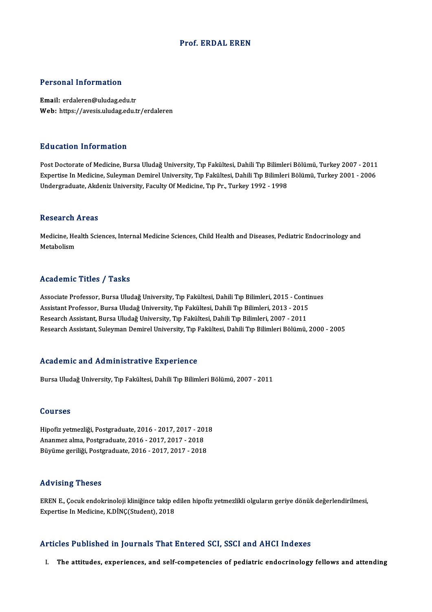#### Prof. ERDAL EREN

### Personal Information

Email: erdaleren@uludag.edu.tr Web: https://avesis.uludag.edu.tr/erdaleren

### Education Information

<mark>Education Information</mark><br>Post Doctorate of Medicine, Bursa Uludağ University, Tıp Fakültesi, Dahili Tıp Bilimleri Bölümü, Turkey 2007 - 2011<br>Evnertise In Medicine, Suleyman Demirel University, Tıp Fakültesi, Dahili Tıp Bili Expertise Information<br>Post Doctorate of Medicine, Bursa Uludağ University, Tıp Fakültesi, Dahili Tıp Bilimleri Bölümü, Turkey 2007 - 2011<br>Expertise In Medicine, Suleyman Demirel University, Tıp Fakültesi, Dahili Tıp Biliml Expertise In Medicine, Suleyman Demirel University, Tıp Fakültesi, Dahili Tıp Bilimleri Bölümü, Turkey 2001 - 2006<br>Undergraduate, Akdeniz University, Faculty Of Medicine, Tıp Pr., Turkey 1992 - 1998

#### Research Areas

Research Areas<br>Medicine, Health Sciences, Internal Medicine Sciences, Child Health and Diseases, Pediatric Endocrinology and<br>Metabeliam Medicine, He<br>Medicine, He<br>Metabolism

# Metabolism<br>Academic Titles / Tasks

Academic Titles / Tasks<br>Associate Professor, Bursa Uludağ University, Tıp Fakültesi, Dahili Tıp Bilimleri, 2015 - Continues<br>Assistant Professor, Bursa Uludağ University, Tıp Fakültesi, Dahili Tıp Bilimleri, 2013 - 2015 Associate Professor, Bursa Uludağ University, Tıp Fakültesi, Dahili Tıp Bilimleri, 2015 - Conti<br>Assistant Professor, Bursa Uludağ University, Tıp Fakültesi, Dahili Tıp Bilimleri, 2013 - 2015<br>Besearsh Assistant, Bursa Uluda Associate Professor, Bursa Uludağ University, Tıp Fakültesi, Dahili Tıp Bilimleri, 2015 - Conti<br>Assistant Professor, Bursa Uludağ University, Tıp Fakültesi, Dahili Tıp Bilimleri, 2013 - 2015<br>Research Assistant, Bursa Uluda Assistant Professor, Bursa Uludağ University, Tıp Fakültesi, Dahili Tıp Bilimleri, 2013 - 2015<br>Research Assistant, Bursa Uludağ University, Tıp Fakültesi, Dahili Tıp Bilimleri, 2007 - 2011<br>Research Assistant, Suleyman Demi

#### Academic and Administrative Experience

Bursa Uludağ University, Tıp Fakültesi, Dahili Tıp Bilimleri Bölümü, 2007 - 2011

### Courses

Courses<br>Hipofiz yetmezliği, Postgraduate, 2016 - 2017, 2017 - 2018<br>Ananmez alma, Bestanaduate, 2016 - 2017, 2017, 2019 2021909<br>Hipofiz yetmezliği, Postgraduate, 2016 - 2017, 2017 - 201<br>Ananmez alma, Postgraduate, 2016 - 2017, 2017 - 2018<br>Büyüme geriliği, Postgraduate, 2016 - 2017, 2017 - 2019 Hipofiz yetmezliği, Postgraduate, 2016 - 2017, 2017 - 201<br>Ananmez alma, Postgraduate, 2016 - 2017, 2017 - 2018<br>Büyüme geriliği, Postgraduate, 2016 - 2017, 2017 - 2018 Büyüme geriliği, Postgraduate, 2016 - 2017, 2017 - 2018<br>Advising Theses

Advising Theses<br>EREN E., Çocuk endokrinoloji kliniğince takip edilen hipofiz yetmezlikli olguların geriye dönük değerlendirilmesi,<br>Evnertise In Medisine, K.DİNC(Student), 2019 rta v romg "r rosses"<br>EREN E., Çocuk endokrinoloji kliniğince takip e<br>Expertise In Medicine, K.DİNÇ(Student), 2018

# Expertise In Medicine, K.DİNÇ(Student), 2018<br>Articles Published in Journals That Entered SCI, SSCI and AHCI Indexes

I. The attitudes, experiences, and self-competencies of pediatric endocrinology fellows and attending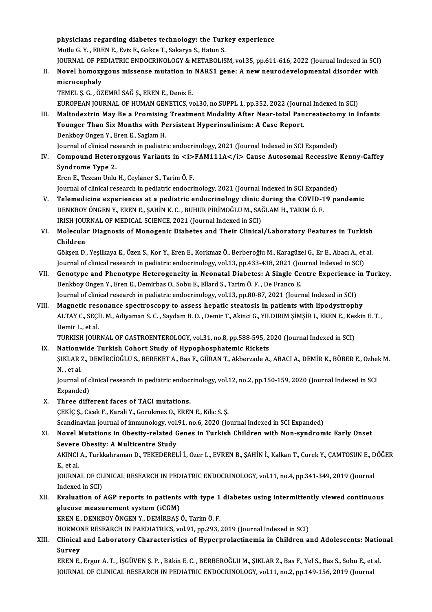physicians regarding diabetes technology: the Turkey experience<br>Muth: C. Y., EDEN E. Eviz E. Coltee T. Soltewie S. Hatun S. physicians regarding diabetes technology: the Turk<br>Mutlu G.Y., EREN E., Eviz E., Gokce T., Sakarya S., Hatun S.<br>JOURNAL OF PEDIATRIC ENDOCRINOLOCY & METAROLIS Mutlu G. Y. , EREN E., Eviz E., Gokce T., Sakarya S., Hatun S.<br>JOURNAL OF PEDIATRIC ENDOCRINOLOGY & METABOLISM, vol.35, pp.611-616, 2022 (Journal Indexed in SCI)

### Mutlu G. Y. , EREN E., Eviz E., Gokce T., Sakarya S., Hatun S.<br>JOURNAL OF PEDIATRIC ENDOCRINOLOGY & METABOLISM, vol.35, pp.611-616, 2022 (Journal Indexed in SCI)<br>II. Novel homozygous missense mutation in NARS1 gene: A new **JOURNAL OF PE<br>Novel homozy<br>microcephaly**<br>TEMEL S.C. ÖZ Novel homozygous missense mutation in<br>microcephaly<br>TEMEL Ş. G. , ÖZEMRİ SAĞ Ş., EREN E., Deniz E.<br>FUROPEAN JOUPNAL OF HUMAN CENETICS ... microcephaly<br>TEMEL Ş. G. , ÖZEMRİ SAĞ Ş., EREN E., Deniz E.<br>EUROPEAN JOURNAL OF HUMAN GENETICS, vol.30, no.SUPPL 1, pp.352, 2022 (Journal Indexed in SCI)<br>Maltodovtrin Mou Be a Bromising Treatment Modelity After Near total

TEMEL Ș. G. , ÖZEMRİ SAĞ Ş., EREN E., Deniz E.<br>EUROPEAN JOURNAL OF HUMAN GENETICS, vol.30, no.SUPPL 1, pp.352, 2022 (Journal Indexed in SCI)<br>III. Maltodextrin May Be a Promising Treatment Modality After Near-total Pancreat EUROPEAN JOURNAL OF HUMAN GENETICS, vol.30, no.SUPPL 1, pp.352, 2022 (Journ<br>Maltodextrin May Be a Promising Treatment Modality After Near-total Pan<br>Younger Than Six Months with Persistent Hyperinsulinism: A Case Report.<br>Do Maltodextrin May Be a Promising<br>Younger Than Six Months with Pe<br>Denkboy Ongen Y., Eren E., Saglam H.<br>Journal of clinical researsh in nedistri Younger Than Six Months with Persistent Hyperinsulinism: A Case Report.<br>Denkboy Ongen Y., Eren E., Saglam H.<br>Journal of clinical research in pediatric endocrinology, 2021 (Journal Indexed in SCI Expanded)<br>Compound Heterogy

Journal of clinical research in pediatric endocrinology, 2021 (Journal Indexed in SCI Expanded)

Iv. Denkboy Ongen Y., Eren E., Saglam H.<br>Journal of clinical research in pediatric endocrinology, 2021 (Journal Indexed in SCI Expanded)<br>IV. Compound Heterozygous Variants in *<i>FAM111A</i>* Cause Autosomal Recessive Kenn S<mark>yndrome Type 2.</mark><br>Eren E., Tezcan Unlu H., Ceylaner S., Tarim Ö. F.<br>Journal of clinical research in pediatric endocrinology, 2021 (Journal Indexed in SCI Expanded)<br>Telemediaire experiences et a pediatric endocrinology, <sup>2</sup>

ErenE.,TezcanUnluH.,Ceylaner S.,TarimÖ.F.

- Eren E., Tezcan Unlu H., Ceylaner S., Tarim Ö. F.<br>Journal of clinical research in pediatric endocrinology, 2021 (Journal Indexed in SCI Expanded)<br>V. Telemedicine experiences at a pediatric endocrinology clinic during the C Journal of clinical research in pediatric endocrinology, 2021 (Journal Indexed in SCI Expand<br>Telemedicine experiences at a pediatric endocrinology clinic during the COVID-1<br>DENKBOY ÖNGEN Y., EREN E., ŞAHİN K. C. , BUHUR Pİ Telemedicine experiences at a pediatric endocrinology clinic<br>DENKBOY ÖNGEN Y., EREN E., ŞAHİN K. C. , BUHUR PİRİMOĞLU M., SAİ<br>IRISH JOURNAL OF MEDICAL SCIENCE, 2021 (Journal Indexed in SCI)<br>Melesular Diaspesis of Manasania DENKBOY ÖNGEN Y., EREN E., ŞAHİN K. C. , BUHUR PİRİMOĞLU M., SAĞLAM H., TARIM Ö. F.<br>IRISH JOURNAL OF MEDICAL SCIENCE, 2021 (Journal Indexed in SCI)<br>VI. Molecular Diagnosis of Monogenic Diabetes and Their Clinical/Laborator
- IRISH JOU<mark>l</mark><br>Molecula<br>Children<br>Gälsen D Molecular Diagnosis of Monogenic Diabetes and Their Clinical/Laboratory Features in Turkish<br>Children<br>Gökşen D., Yeşilkaya E., Özen S., Kor Y., Eren E., Korkmaz Ö., Berberoğlu M., Karagüzel G., Er E., Abacı A., et al.<br>Journ

Children<br>Gökşen D., Yeşilkaya E., Özen S., Kor Y., Eren E., Korkmaz Ö., Berberoğlu M., Karagüzel G., Er E., Abacı A., et al.<br>Journal of clinical research in pediatric endocrinology, vol.13, pp.433-438, 2021 (Journal Indexe Gökşen D., Yeşilkaya E., Özen S., Kor Y., Eren E., Korkmaz Ö., Berberoğlu M., Karagüzel G., Er E., Abacı A., et al.<br>Journal of clinical research in pediatric endocrinology, vol.13, pp.433-438, 2021 (Journal Indexed in SCI)

- Journal of clinical research in pediatric endocrinology, vol.13, pp.433-438, 2021 (Journal of clinical Phenotype Heterogeneity in Neonatal Diabetes: A Single Ce<br>Denkboy Ongen Y., Eren E., Demirbas O., Sobu E., Ellard S., T Genotype and Phenotype Heterogeneity in Neonatal Diabetes: A Single Centre Experience<br>Denkboy Ongen Y., Eren E., Demirbas O., Sobu E., Ellard S., Tarim Ö. F., De Franco E.<br>Journal of clinical research in pediatric endocrin Denkboy Ongen Y., Eren E., Demirbas O., Sobu E., Ellard S., Tarim Ö. F. , De Franco E.<br>Journal of clinical research in pediatric endocrinology, vol.13, pp.80-87, 2021 (Journal Indexed in SCI)<br>VIII. Magnetic resonance spect
- Journal of clinical research in pediatric endocrinology, vol.13, pp.80-87, 2021 (Journal Indexed in SCI)<br>Magnetic resonance spectroscopy to assess hepatic steatosis in patients with lipodystrophy<br>ALTAY C., SEÇİL M., Adiyam Demir L., et al. ALTAY C., SEÇİL M., Adiyaman S. C. , Saydam B. O. , Demir T., Akinci G., YILDIRIM ŞİMŞİR I., EREN E., Kes<br>Demir L., et al.<br>TURKISH JOURNAL OF GASTROENTEROLOGY, vol.31, no.8, pp.588-595, 2020 (Journal Indexed in SCI)<br>Nation

TURKISH JOURNAL OF GASTROENTEROLOGY, vol.31, no.8, pp.588-595, 2020 (Journal Indexed in SCI)<br>IX. Nationwide Turkish Cohort Study of Hypophosphatemic Rickets

TURKISH JOURNAL OF GASTROENTEROLOGY, vol.31, no.8, pp.588-595, 2020 (Journal Indexed in SCI)<br><mark>Nationwide Turkish Cohort Study of Hypophosphatemic Rickets</mark><br>ŞIKLAR Z., DEMİRCİOĞLU S., BEREKET A., Bas F., GÜRAN T., Akberzade N. ,etal. ŞIKLAR Z., DEMİRCİOĞLU S., BEREKET A., Bas F., GÜRAN T., Akberzade A., ABACI A., DEMİR K., BÖBER E., Ozbe.<br>N. , et al.<br>Journal of clinical research in pediatric endocrinology, vol.12, no.2, pp.150-159, 2020 (Journal Indexe

Journal of clinical research in pediatric endocrinology, vol.12, no.2, pp.150-159, 2020 (Journal Indexed in SCI<br>Expanded)

X. Three different faces of TACImutations.

ÇEKİÇ Ş., Cicek F., Karali Y., Gorukmez O., EREN E., Kilic S. Ş.

Scandinavian journal of immunology, vol.91, no.6, 2020 (Journal Indexed in SCI Expanded)

### CEKİÇ Ş., Cicek F., Karali Y., Gorukmez O., EREN E., Kilic S. Ş.<br>Scandinavian journal of immunology, vol.91, no.6, 2020 (Journal Indexed in SCI Expanded)<br>XI. Novel Mutations in Obesity-related Genes in Turkish Children wit Scandinavian journal of immunology, vol.<br>Novel Mutations in Obesity-related C<br>Severe Obesity: A Multicentre Study<br>AKINCLA, Turkkahraman D. TEKEDEREL Novel Mutations in Obesity-related Genes in Turkish Children with Non-syndromic Early Onset<br>Severe Obesity: A Multicentre Study<br>AKINCI A., Turkkahraman D., TEKEDERELİ İ., Ozer L., EVREN B., ŞAHİN İ., Kalkan T., Curek Y., Ç

Severe Obesity: A Multicentre Study<br>AKINCI A., Turkkahraman D., TEKEDERELİ İ., Ozer L., EVREN B., ŞAHİN İ., Kalkan T., Curek Y., ÇAMTOSUN E., DÖĞER<br>E., et al. AKINCI A., Turkkahraman D., TEKEDERELİ İ., Ozer L., EVREN B., ŞAHİN İ., Kalkan T., Curek Y., ÇAMTOSUN E., D<br>E., et al.<br>JOURNAL OF CLINICAL RESEARCH IN PEDIATRIC ENDOCRINOLOGY, vol.11, no.4, pp.341-349, 2019 (Journal<br>Indove

E., et al.<br>JOURNAL OF CL<br>Indexed in SCI)<br>Evaluation of JOURNAL OF CLINICAL RESEARCH IN PEDIATRIC ENDOCRINOLOGY, vol.11, no.4, pp.341-349, 2019 (Journal<br>Indexed in SCI)<br>XII. Evaluation of AGP reports in patients with type 1 diabetes using intermittently viewed continuous<br>alugae

Indexed in SCI)<br>Evaluation of AGP reports in patients<br>glucose measurement system (iCGM)<br>ERENE DENKROVÖNCEN V. DEMIRAS 4 glucose measurement system (iCGM)<br>EREN E., DENKBOY ÖNGEN Y., DEMİRBAŞ Ö., Tarim Ö. F. glucose measurement system (iCGM)<br>EREN E., DENKBOY ÖNGEN Y., DEMİRBAŞ Ö., Tarim Ö. F.<br>HORMONE RESEARCH IN PAEDIATRICS, vol.91, pp.293, 2019 (Journal Indexed in SCI)<br>Clinical and Laboratory Characteristics of Hyporprelactin

### EREN E., DENKBOY ÖNGEN Y., DEMİRBAŞ Ö., Tarim Ö. F.<br>HORMONE RESEARCH IN PAEDIATRICS, vol.91, pp.293, 2019 (Journal Indexed in SCI)<br>XIII. Clinical and Laboratory Characteristics of Hyperprolactinemia in Children and Ado HORMOI<br>Clinical<br>Survey<br>EDEN E Clinical and Laboratory Characteristics of Hyperprolactinemia in Children and Adolescents: Natio<br>Survey<br>EREN E., Ergur A. T. , İŞGÜVEN Ş. P. , Bitkin E. C. , BERBEROĞLU M., ŞIKLAR Z., Bas F., Yel S., Bas S., Sobu E., et al

Survey<br>EREN E., Ergur A. T. , İŞGÜVEN Ş. P. , Bitkin E. C. , BERBEROĞLU M., ŞIKLAR Z., Bas F., Yel S., Bas S., Sobu E., et al.<br>JOURNAL OF CLINICAL RESEARCH IN PEDIATRIC ENDOCRINOLOGY, vol.11, no.2, pp.149-156, 2019 (Journa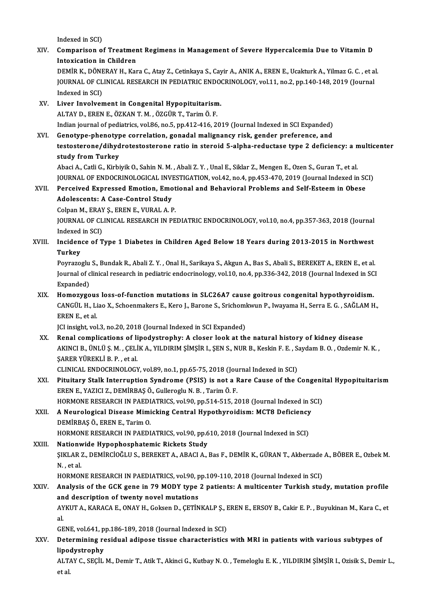Indexed in SCI)

Indexed in SCI)<br>XIV. Comparison of Treatment Regimens in Management of Severe Hypercalcemia Due to Vitamin D Indexed in SCI)<br>Comparison of Treatmer<br>Intoxication in Children<br>DEM<sup>in V.</sup> DÖNERAV H. Kor Comparison of Treatment Regimens in Management of Severe Hypercalcemia Due to Vitamin D<br>Intoxication in Children<br>DEMİR K., DÖNERAY H., Kara C., Atay Z., Cetinkaya S., Cayir A., ANIK A., EREN E., Ucakturk A., Yilmaz G. C. , Intoxication in Children<br>DEMİR K., DÖNERAY H., Kara C., Atay Z., Cetinkaya S., Cayir A., ANIK A., EREN E., Ucakturk A., Yilmaz G. C. , et a<br>JOURNAL OF CLINICAL RESEARCH IN PEDIATRIC ENDOCRINOLOGY, vol.11, no.2, pp.140-148, DEMİR K., DÖNE<br>JOURNAL OF CL<br>Indexed in SCI)<br>Liver Involver JOURNAL OF CLINICAL RESEARCH IN PEDIATRIC ENDOM<br>Indexed in SCI)<br>XV. Liver Involvement in Congenital Hypopituitarism.<br>ALTAV D. EREN E. ÖZKAN T. M. ÖZCÜR T. Tarim Ö. E. Indexed in SCI)<br><mark>Liver Involvement in Congenital Hypopituitarism</mark><br>ALTAY D., EREN E., ÖZKAN T. M. , ÖZGÜR T., Tarim Ö. F.<br>Indian journal of nodiatrics, vel 96, no 5, nn 412,416, 24 ALTAY D., EREN E., ÖZKAN T. M. , ÖZGÜR T., Tarim Ö. F.<br>Indian journal of pediatrics, vol.86, no.5, pp.412-416, 2019 (Journal Indexed in SCI Expanded) ALTAY D., EREN E., ÖZKAN T. M. , ÖZGÜR T., Tarim Ö. F.<br>Indian journal of pediatrics, vol.86, no.5, pp.412-416, 2019 (Journal Indexed in SCI Expanded)<br>XVI. Genotype-phenotype correlation, gonadal malignancy risk, gender pre Indian journal of pediatrics, vol.86, no.5, pp.412-416, 2019 (Journal Indexed in SCI Expanded)<br>Genotype-phenotype correlation, gonadal malignancy risk, gender preference, and<br>testosterone/dihydrotestosterone ratio in stero Genotype-phenotyp<br>testosterone/dihyd<br>study from Turkey<br>Abasi A Catli C. Kishi testosterone/dihydrotestosterone ratio in steroid 5-alpha-reductase type 2 deficiency: a n<br>study from Turkey<br>Abaci A., Catli G., Kirbiyik O., Sahin N. M. , Abali Z. Y. , Unal E., Siklar Z., Mengen E., Ozen S., Guran T., et study from Turkey<br>Abaci A., Catli G., Kirbiyik O., Sahin N. M. , Abali Z. Y. , Unal E., Siklar Z., Mengen E., Ozen S., Guran T., et al.<br>JOURNAL OF ENDOCRINOLOGICAL INVESTIGATION, vol.42, no.4, pp.453-470, 2019 (Journal Ind Abaci A., Catli G., Kirbiyik O., Sahin N. M. , Abali Z. Y. , Unal E., Siklar Z., Mengen E., Ozen S., Guran T., et al.<br>JOURNAL OF ENDOCRINOLOGICAL INVESTIGATION, vol.42, no.4, pp.453-470, 2019 (Journal Indexed in SC)<br>XVII. **JOURNAL OF ENDOCRINOLOGICAL INVI<br>Perceived Expressed Emotion, Emo<br>Adolescents: A Case-Control Study<br>Colpan M, ERAY S, EREN E, VURAL A, E** XVII. Perceived Expressed Emotion, Emotional and Behavioral Problems and Self-Esteem in Obese<br>Adolescents: A Case-Control Study JOURNAL OF CLINICAL RESEARCH IN PEDIATRIC ENDOCRINOLOGY, vol.10, no.4, pp.357-363, 2018 (Journal Indexed in SCI) Colpan M., ERAY S., EREN E., VURAL A. P. JOURNAL OF CLINICAL RESEARCH IN PEDIATRIC ENDOCRINOLOGY, vol.10, no.4, pp.357-363, 2018 (Journal<br>Indexed in SCI)<br>XVIII. Incidence of Type 1 Diabetes in Children Aged Below 18 Years during 2013-2015 in Northwest<br>Turkey Indexed<br>Inciden<br>Turkey<br><sup>Povrazo</sup> Incidence of Type 1 Diabetes in Children Aged Below 18 Years during 2013-2015 in Northwest<br>Turkey<br>Poyrazoglu S., Bundak R., Abali Z.Y. , Onal H., Sarikaya S., Akgun A., Bas S., Abali S., BEREKET A., EREN E., et al.<br>Journal Turkey<br>Poyrazoglu S., Bundak R., Abali Z. Y. , Onal H., Sarikaya S., Akgun A., Bas S., Abali S., BEREKET A., EREN E., et al.<br>Journal of clinical research in pediatric endocrinology, vol.10, no.4, pp.336-342, 2018 (Journal Poyrazoglu<br>Journal of c<br>Expanded)<br>Homoryso Journal of clinical research in pediatric endocrinology, vol.10, no.4, pp.336-342, 2018 (Journal Indexed in SC<br>Expanded)<br>XIX. Homozygous loss-of-function mutations in SLC26A7 cause goitrous congenital hypothyroidism.<br>CANCU Expanded)<br>Homozygous loss-of-function mutations in SLC26A7 cause goitrous congenital hypothyroidism.<br>CANGÜL H., Liao X., Schoenmakers E., Kero J., Barone S., Srichomkwun P., Iwayama H., Serra E. G. , SAĞLAM H.,<br>EREN E. et Homozygous loss-of-function mutations in SLC26A7 cause goitrous congenital hypothyroidism.<br>CANGÜL H., Liao X., Schoenmakers E., Kero J., Barone S., Srichomkwun P., Iwayama H., Serra E. G. , SAĞLAM H<br>EREN E., et al.<br>JCI ins CANGÜL H., Liao X., Schoenmakers E., Kero J., Barone S., Srichoml<br>EREN E., et al.<br>JCI insight, vol.3, no.20, 2018 (Journal Indexed in SCI Expanded)<br>Penal complications of linedystrophy: A sleagr look at th EREN E., et al.<br>JCI insight, vol.3, no.20, 2018 (Journal Indexed in SCI Expanded)<br>XX. Renal complications of lipodystrophy: A closer look at the natural history of kidney disease<br>AKINGLE JINLUS M., CELIK A. VU DIRIM SIMSIR JCI insight, vol.3, no.20, 2018 (Journal Indexed in SCI Expanded)<br>Renal complications of lipodystrophy: A closer look at the natural history of kidney disease<br>AKINCI B., ÜNLÜ Ş. M. , ÇELİK A., YILDIRIM ŞİMŞİR I., ŞEN S., N Renal complications of li<br>AKINCI B., ÜNLÜ Ş. M. , ÇELİ<br>ŞARER YÜREKLİ B. P. , et al.<br>CLINICAL ENDOCRINOLOCY AKINCI B., ÜNLÜ Ş. M. , ÇELİK A., YILDIRIM ŞİMŞİR I., ŞEN S., NUR B., Keskin F. E. , S.<br>ŞARER YÜREKLİ B. P. , et al.<br>CLINICAL ENDOCRINOLOGY, vol.89, no.1, pp.65-75, 2018 (Journal Indexed in SCI)<br>Bitultanu Stalk Internuntio SARER YÜREKLİ B. P. , et al.<br>CLINICAL ENDOCRINOLOGY, vol.89, no.1, pp.65-75, 2018 (Journal Indexed in SCI)<br>XXI. Pituitary Stalk Interruption Syndrome (PSIS) is not a Rare Cause of the Congenital Hypopituitarism<br>FREN E. VAZ CLINICAL ENDOCRINOLOGY, vol.89, no.1, pp.65-75, 2018 (Jou<br>Pituitary Stalk Interruption Syndrome (PSIS) is not a F<br>EREN E., YAZICI Z., DEMIRBAŞ Ö., Gulleroglu N.B. , Tarim Ö.F.<br>HOPMONE RESEARCH IN RAEDIATRICS xol.90, np.514 Pituitary Stalk Interruption Syndrome (PSIS) is not a Rare Cause of the Congeni<br>EREN E., YAZICI Z., DEMİRBAŞ Ö., Gulleroglu N. B. , Tarim Ö. F.<br>HORMONE RESEARCH IN PAEDIATRICS, vol.90, pp.514-515, 2018 (Journal Indexed in EREN E., YAZICI Z., DEMİRBAŞ Ö., Gulleroglu N. B. , Tarim Ö. F.<br>HORMONE RESEARCH IN PAEDIATRICS, vol.90, pp.514-515, 2018 (Journal Indexed in S<br>XXII. A Neurological Disease Mimicking Central Hypothyroidism: MCT8 Deficiency HORMONE RESEARCH IN PAEDI<br>A Neurological Disease Mimi<br>DEMİRBAŞ Ö., EREN E., Tarim O.<br>HOPMONE PESEARCH IN PAEDI A Neurological Disease Mimicking Central Hypothyroidism: MCT8 Deficiency<br>DEMİRBAŞ Ö., EREN E., Tarim O.<br>HORMONE RESEARCH IN PAEDIATRICS, vol.90, pp.610, 2018 (Journal Indexed in SCI)<br>Nationwide Hypophosphatomis Biskets Stu DEMIRBAŞ Ö., EREN E., Tarim O.<br>HORMONE RESEARCH IN PAEDIATRICS, vol.90, pp.6<br>XXIII. Nationwide Hypophosphatemic Rickets Study<br>SIVI AP Z. DEMIPCIOČLUS, PEREVET A APACLA ŞIKLAR Z., DEMİRCİOĞLU S., BEREKET A., ABACI A., Bas F., DEMİR K., GÜRAN T., Akberzade A., BÖBER E., Ozbek M.<br>N. , et al. Nationwide Hypophosphatemic Rickets Study ŞIKLAR Z., DEMİRCİOĞLU S., BEREKET A., ABACI A., Bas F., DEMİR K., GÜRAN T., Akberzade<br>N. , et al.<br>HORMONE RESEARCH IN PAEDIATRICS, vol.90, pp.109-110, 2018 (Journal Indexed in SCI)<br>Analysis of the SCK gane in 79 MODY tune N. , et al.<br>HORMONE RESEARCH IN PAEDIATRICS, vol.90, pp.109-110, 2018 (Journal Indexed in SCI)<br>XXIV. Analysis of the GCK gene in 79 MODY type 2 patients: A multicenter Turkish study, mutation profile<br>and description of twe HORMONE RESEARCH IN PAEDIATRICS, vol.90, p<br>Analysis of the GCK gene in 79 MODY type<br>and description of twenty novel mutations<br>AYKUTA, KARACA E, ONAY H, Colson D, CETIN Analysis of the GCK gene in 79 MODY type 2 patients: A multicenter Turkish study, mutation profile<br>and description of twenty novel mutations<br>AYKUT A., KARACA E., ONAY H., Goksen D., ÇETİNKALP Ş., EREN E., ERSOY B., Cakir E an<br>AY<br>al AYKUT A., KARACA E., ONAY H., Goksen D., ÇETİNKALP Ş., EREN E., ERSOY B., Cakir E. P. , Buyukinan M., Kara C., et<br>al.<br>GENE, vol.641, pp.186-189, 2018 (Journal Indexed in SCI) al.<br>GENE, vol.641, pp.186-189, 2018 (Journal Indexed in SCI)<br>XXV. Determining residual adipose tissue characteristics with MRI in patients with various subtypes of<br>linedystranhy **GENE, vol.641, p**<br>Determining re<br>lipodystrophy Determining residual adipose tissue characteristics with MRI in patients with various subtypes of<br>lipodystrophy<br>ALTAY C., SEÇİL M., Demir T., Atik T., Akinci G., Kutbay N. O. , Temeloglu E. K. , YILDIRIM ŞİMŞİR I., Ozisik lipo<br>ALT/<br>et al.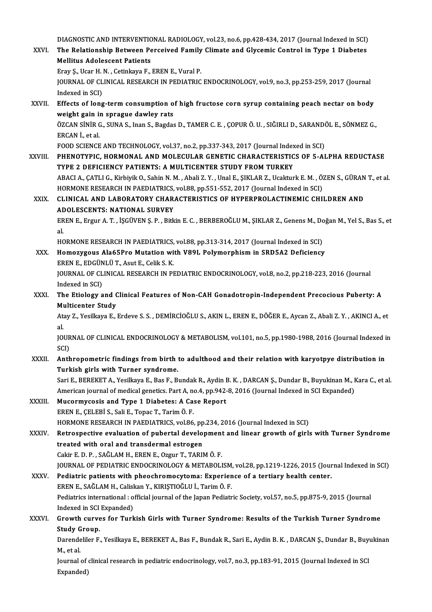DIAGNOSTIC AND INTERVENTIONAL RADIOLOGY, vol.23, no.6, pp.428-434, 2017 (Journal Indexed in SCI)<br>The Belationabin Between Bergeived Family Climate and Clysemis Centrel in Type 1 Dishetes

DIAGNOSTIC AND INTERVENTIONAL RADIOLOGY, vol.23, no.6, pp.428-434, 2017 (Journal Indexed in SCI)<br>XXVI. The Relationship Between Perceived Family Climate and Glycemic Control in Type 1 Diabetes DIAGNOSTIC AND INTERVENTIC<br>The Relationship Between Pe<br>Mellitus Adolescent Patients<br>Frau S. Hear H. N. Getinkaug F The Relationship Between Perceived Family Climate and Glycemic Control in Type 1 Diabetes<br>Mellitus Adolescent Patients<br>Eray S., Ucar H. N. , Cetinkaya F., EREN E., Vural P.

Mellitus Adolescent Patients<br>Eray Ş., Ucar H. N. , Cetinkaya F., EREN E., Vural P.<br>JOURNAL OF CLINICAL RESEARCH IN PEDIATRIC ENDOCRINOLOGY, vol.9, no.3, pp.253-259, 2017 (Journal<br>Indoved in SCD. Eray Ş., Ucar H.<br>JOURNAL OF CL<br>Indexed in SCI)<br>Effects of lang JOURNAL OF CLINICAL RESEARCH IN PEDIATRIC ENDOCRINOLOGY, vol.9, no.3, pp.253-259, 2017 (Journal<br>Indexed in SCI)<br>XXVII. Effects of long-term consumption of high fructose corn syrup containing peach nectar on body<br>weight gai

Indexed in SCI)<br>Effects of long-term consumption o<br>weight gain in sprague dawley rats<br>ÖZCAN SİNİP C. SINA S. Inan S. Bagda Effects of long-term consumption of high fructose corn syrup containing peach nectar on body<br>weight gain in sprague dawley rats<br>ÖZCAN SİNİR G., SUNA S., Inan S., Bagdas D., TAMER C. E. , ÇOPUR Ö. U. , SIĞIRLI D., SARANDÖL

**weight gain in<br>ÖZCAN SİNİR C<br>ERCAN İ., et al.**<br>EQOD SCIENCE ÖZCAN SİNİR G., SUNA S., Inan S., Bagdas D., TAMER C. E. , ÇOPUR Ö. U. , SIĞIRLI D., SARANDO<br>ERCAN İ., et al.<br>FOOD SCIENCE AND TECHNOLOGY, vol.37, no.2, pp.337-343, 2017 (Journal Indexed in SCI)<br>PHENOTYPIC, HOPMONAL, AND M

FOOD SCIENCE AND TECHNOLOGY, vol.37, no.2, pp.337-343, 2017 (Journal Indexed in SCI)

ERCAN İ., et al.<br>FOOD SCIENCE AND TECHNOLOGY, vol.37, no.2, pp.337-343, 2017 (Journal Indexed in SCI)<br>XXVIII. PHENOTYPIC, HORMONAL AND MOLECULAR GENETIC CHARACTERISTICS OF 5-ALPHA REDUCTASE<br>TYPE 2 DEFICIENCY PATIENTS: A MU PHENOTYPIC, HORMONAL AND MOLECULAR GENETIC CHARACTERISTICS OF 5-ALPHA REDUCTASE<br>TYPE 2 DEFICIENCY PATIENTS: A MULTICENTER STUDY FROM TURKEY<br>ABACI A., ÇATLI G., Kirbiyik O., Sahin N. M. , Abali Z. Y. , Unal E., ŞIKLAR Z., U

TYPE 2 DEFICIENCY PATIENTS: A MULTICENTER STUDY FROM TURKEY<br>ABACI A., ÇATLI G., Kirbiyik O., Sahin N. M. , Abali Z. Y. , Unal E., ŞIKLAR Z., Ucakturk E. M. , Ö.<br>HORMONE RESEARCH IN PAEDIATRICS, vol.88, pp.551-552, 2017 (Jo ABACI A., ÇATLI G., Kirbiyik O., Sahin N. M. , Abali Z. Y. , Unal E., ŞIKLAR Z., Ucakturk E. M. , ÖZEN S., GÜRAN<br>HORMONE RESEARCH IN PAEDIATRICS, vol.88, pp.551-552, 2017 (Journal Indexed in SCI)<br>XXIX. CLINICAL AND LABORAT

## HORMONE RESEARCH IN PAEDIATRICS, vol.88, pp.551-552, 2017 (Journal Indexed in SCI)<br>CLINICAL AND LABORATORY CHARACTERISTICS OF HYPERPROLACTINEMIC CHILDREN AND<br>ADOLESCENTS: NATIONAL SURVEY CLINICAL AND LABORATORY CHARACTERISTICS OF HYPERPROLACTINEMIC CHILDREN AND<br>ADOLESCENTS: NATIONAL SURVEY<br>EREN E., Ergur A. T. , İŞGÜVEN Ş. P. , Bitkin E. C. , BERBEROĞLU M., ŞIKLAR Z., Genens M., Doğan M., Yel S., Bas S., e

AD<br>ER<br>al. EREN E., Ergur A. T. , İŞGÜVEN Ş. P. , Bitkin E. C. , BERBEROĞLU M., ŞIKLAR Z., Genens M., Dc<br>al.<br>HORMONE RESEARCH IN PAEDIATRICS, vol.88, pp.313-314, 2017 (Journal Indexed in SCI)<br>Homonygous, Ala£EPro Mutation with V901,

HORMONE RESEARCH IN PAEDIATRICS, vol.88, pp.313-314, 2017 (Journal Indexed in SCI)

al.<br>HORMONE RESEARCH IN PAEDIATRICS, vol.88, pp.313-314, 2017 (Journal Indexed in SCI)<br>XXX. Homozygous Ala65Pro Mutation with V89L Polymorphism in SRD5A2 Deficiency<br>EREN E., EDGÜNLÜ T., Asut E., Celik S. K. Homozygous Ala65Pro Mutation with V89L Polymorphism in SRD5A2 Deficiency<br>EREN E., EDGÜNLÜ T., Asut E., Celik S. K.<br>JOURNAL OF CLINICAL RESEARCH IN PEDIATRIC ENDOCRINOLOGY, vol.8, no.2, pp.218-223, 2016 (Journal<br>Indexed in EREN E., EDGÜN<br>JOURNAL OF CL<br>Indexed in SCI)<br>The Etiology o

JOURNAL OF CLINICAL RESEARCH IN PEDIATRIC ENDOCRINOLOGY, vol.8, no.2, pp.218-223, 2016 (Journal<br>Indexed in SCI)<br>XXXI. The Etiology and Clinical Features of Non-CAH Gonadotropin-Independent Precocious Puberty: A<br>Multisentor Indexed in SCI)<br>The Etiology and Clinical Features of Non-CAH Gonadotropin-Independent Precocious Puberty: A<br>Multicenter Study

Atay Z., Yesilkaya E., Erdeve S. S. , DEMİRCİOĞLU S., AKIN L., EREN E., DÖĞER E., Aycan Z., Abali Z. Y. , AKINCI A., et<br>al. Mu<br>At:<br>al Atay Z., Yesilkaya E., Erdeve S. S. , DEMİRCİOĞLU S., AKIN L., EREN E., DÖĞER E., Aycan Z., Abali Z. Y. , AKINCI A., et<br>al.<br>JOURNAL OF CLINICAL ENDOCRINOLOGY & METABOLISM, vol.101, no.5, pp.1980-1988, 2016 (Journal Indexed

al<br>JOUR<br>SCI)<br>Anth JOURNAL OF CLINICAL ENDOCRINOLOGY & METABOLISM, vol.101, no.5, pp.1980-1988, 2016 (Journal Indexed i<br>SCI)<br>XXXII. Anthropometric findings from birth to adulthood and their relation with karyotpye distribution in<br>Turkich gir

SCI)<br>Anthropometric findings from birth to adulthood and their relation with karyotpye distribution in<br>Turkish girls with Turner syndrome. Anthropometric findings from birth to adulthood and their relation with karyotpye distribution in<br>Turkish girls with Turner syndrome.<br>Sari E., BEREKET A., Yesilkaya E., Bas F., Bundak R., Aydin B. K. , DARCAN Ş., Dundar B.

Turkish girls with Turner syndrome.<br>Sari E., BEREKET A., Yesilkaya E., Bas F., Bundak R., Aydin B. K. , DARCAN Ş., Dundar B., Buyukinan M., I<br>American journal of medical genetics. Part A, no.4, pp.942-8, 2016 (Journal Inde American journal of medical genetics. Part A, no.4, pp.942-8, 2016 (Journal Indexed in SCI Expanded)

- XXXIII. Mucormycosis and Type 1 Diabetes: A Case Report<br>EREN E., CELEBI S., Sali E., Topac T., Tarim Ö. F. Mucormycosis and Type 1 Diabetes: A Case Report<br>EREN E., ÇELEBİ S., Sali E., Topac T., Tarim Ö. F.<br>HORMONE RESEARCH IN PAEDIATRICS, vol.86, pp.234, 2016 (Journal Indexed in SCI)<br>Petrespective evoluation of pubertal develop EREN E., ÇELEBİ S., Sali E., Topac T., Tarim Ö. F.<br>HORMONE RESEARCH IN PAEDIATRICS, vol.86, pp.234, 2016 (Journal Indexed in SCI)<br>XXXIV. Retrospective evaluation of pubertal development and linear growth of girls with
- HORMONE RESEARCH IN PAEDIATRICS, vol.86, pp<br>Retrospective evaluation of pubertal develop<br>treated with oral and transdermal estrogen Retrospective evaluation of pubertal development<br>treated with oral and transdermal estrogen<br>Cakir E. D. P. , SAĞLAM H., EREN E., Ozgur T., TARIM Ö. F.<br>JOUPMAL OF PEDIATPIC ENDOCPINOLOCY & METAROLI treated with oral and transdermal estrogen<br>Cakir E. D. P. , SAĞLAM H., EREN E., Ozgur T., TARIM Ö. F.<br>JOURNAL OF PEDIATRIC ENDOCRINOLOGY & METABOLISM, vol.28, pp.1219-1226, 2015 (Journal Indexed in SCI)<br>Pediatric patients

### Cakir E. D. P., SAĞLAM H., EREN E., Ozgur T., TARIM Ö. F.<br>JOURNAL OF PEDIATRIC ENDOCRINOLOGY & METABOLISM, vol.28, pp.1219-1226, 2015 (Jour<br>XXXV. Pediatric patients with pheochromocytoma: Experience of a tertiary health ce FOURNAL OF PEDIATRIC ENDOCRINOLOGY & METABOLISM.<br>Pediatric patients with pheochromocytoma: Experien<br>EREN E., SAĞLAM H., Caliskan Y., KIRIŞTIOĞLU İ., Tarim Ö. F.<br>Pediatrics international : official journal of the Japan Pedi Pediatric patients with pheochromocytoma: Experience of a tertiary health center.<br>EREN E., SAĞLAM H., Caliskan Y., KIRIŞTIOĞLU İ., Tarim Ö. F.<br>Pediatrics international : official journal of the Japan Pediatric Society, vol EREN E., SAĞLAM H., Caliskan Y., KIRIŞTIOĞLU İ., Tarim Ö. F. Pediatrics international : official journal of the Japan Pediatric Society, vol.57, no.5, pp.875-9, 2015 (Journal<br>Indexed in SCI Expanded)<br>XXXVI. Growth curves for Turkish Girls with Turner Syndrome: Results of the Turkish

## Indexed in SCI<br>Growth curve<br>Study Group.<br>Derendeliler E Growth curves for Turkish Girls with Turner Syndrome: Results of the Turkish Turner Syndrome<br>Study Group.<br>Darendeliler F., Yesilkaya E., BEREKET A., Bas F., Bundak R., Sari E., Aydin B. K. , DARCAN Ş., Dundar B., Buyukinan

Study G<br>Darende<br>M., et al.<br>Journal Darendeliler F., Yesilkaya E., BEREKET A., Bas F., Bundak R., Sari E., Aydin B. K. , DARCAN Ş., Dundar B., Buyı<br>M., et al.<br>Journal of clinical research in pediatric endocrinology, vol.7, no.3, pp.183-91, 2015 (Journal Inde

M., et al.<br>Journal of<br>Expanded)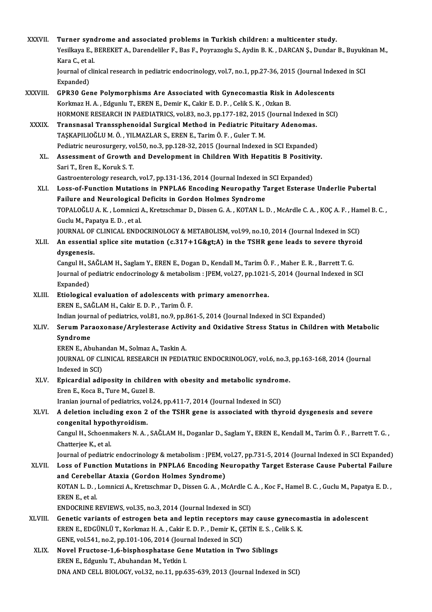| XXXVII.      | Turner syndrome and associated problems in Turkish children: a multicenter study.                                                   |
|--------------|-------------------------------------------------------------------------------------------------------------------------------------|
|              | Yesilkaya E., BEREKET A., Darendeliler F., Bas F., Poyrazoglu S., Aydin B. K., DARCAN Ş., Dundar B., Buyukinan M.,<br>Kara C, et al |
|              | Journal of clinical research in pediatric endocrinology, vol.7, no.1, pp.27-36, 2015 (Journal Indexed in SCI<br>Expanded)           |
| XXXVIII.     | GPR30 Gene Polymorphisms Are Associated with Gynecomastia Risk in Adolescents                                                       |
|              | Korkmaz H. A., Edgunlu T., EREN E., Demir K., Cakir E. D. P., Celik S. K., Ozkan B.                                                 |
|              | HORMONE RESEARCH IN PAEDIATRICS, vol.83, no.3, pp.177-182, 2015 (Journal Indexed in SCI)                                            |
| <b>XXXIX</b> | Transnasal Transsphenoidal Surgical Method in Pediatric Pituitary Adenomas.                                                         |
|              | TAŞKAPILIOĞLU M. Ö., YILMAZLAR S., EREN E., Tarim Ö. F., Guler T. M.                                                                |
|              | Pediatric neurosurgery, vol.50, no.3, pp.128-32, 2015 (Journal Indexed in SCI Expanded)                                             |
| XL.          | Assessment of Growth and Development in Children With Hepatitis B Positivity.                                                       |
|              | Sari T., Eren E., Koruk S. T.                                                                                                       |
|              | Gastroenterology research, vol.7, pp.131-136, 2014 (Journal Indexed in SCI Expanded)                                                |
| XLI.         | Loss-of-Function Mutations in PNPLA6 Encoding Neuropathy Target Esterase Underlie Pubertal                                          |
|              | Failure and Neurological Deficits in Gordon Holmes Syndrome                                                                         |
|              | TOPALOĞLU A.K., Lomniczi A., Kretzschmar D., Dissen G.A., KOTAN L.D., McArdle C.A., KOÇ A.F., Hamel B.C.,                           |
|              | Guclu M., Papatya E.D., et al.<br>JOURNAL OF CLINICAL ENDOCRINOLOGY & METABOLISM, vol.99, no.10, 2014 (Journal Indexed in SCI)      |
| XLII.        | An essential splice site mutation (c.317+1G>A) in the TSHR gene leads to severe thyroid                                             |
|              | dysgenesis.                                                                                                                         |
|              | Cangul H., SAĞLAM H., Saglam Y., EREN E., Dogan D., Kendall M., Tarim Ö. F., Maher E. R., Barrett T. G.                             |
|              | Journal of pediatric endocrinology & metabolism : JPEM, vol.27, pp.1021-5, 2014 (Journal Indexed in SCI                             |
|              | Expanded)                                                                                                                           |
| XLIII.       | Etiological evaluation of adolescents with primary amenorrhea.                                                                      |
|              | EREN E., SAĞLAM H., Cakir E. D. P., Tarim Ö. F.                                                                                     |
|              | Indian journal of pediatrics, vol.81, no.9, pp.861-5, 2014 (Journal Indexed in SCI Expanded)                                        |
| XLIV.        | Serum Paraoxonase/Arylesterase Activity and Oxidative Stress Status in Children with Metabolic                                      |
|              | Syndrome                                                                                                                            |
|              | EREN E., Abuhandan M., Solmaz A., Taskin A.                                                                                         |
|              | JOURNAL OF CLINICAL RESEARCH IN PEDIATRIC ENDOCRINOLOGY, vol.6, no.3, pp.163-168, 2014 (Journal                                     |
|              | Indexed in SCI)                                                                                                                     |
| XLV.         | Epicardial adiposity in children with obesity and metabolic syndrome.                                                               |
|              | Eren E., Koca B., Ture M., Guzel B.<br>Iranian journal of pediatrics, vol.24, pp.411-7, 2014 (Journal Indexed in SCI)               |
| XLVI.        | A deletion including exon 2 of the TSHR gene is associated with thyroid dysgenesis and severe                                       |
|              | congenital hypothyroidism.                                                                                                          |
|              | Cangul H., Schoenmakers N. A., SAĞLAM H., Doganlar D., Saglam Y., EREN E., Kendall M., Tarim Ö. F., Barrett T. G.,                  |
|              | Chatterjee K, et al.                                                                                                                |
|              | Journal of pediatric endocrinology & metabolism : JPEM, vol.27, pp.731-5, 2014 (Journal Indexed in SCI Expanded)                    |
| <b>XLVII</b> | Loss of Function Mutations in PNPLA6 Encoding Neuropathy Target Esterase Cause Pubertal Failure                                     |
|              | and Cerebellar Ataxia (Gordon Holmes Syndrome)                                                                                      |
|              | KOTAN L. D., Lomniczi A., Kretzschmar D., Dissen G. A., McArdle C. A., Koc F., Hamel B. C., Guclu M., Papatya E. D.,                |
|              | EREN E, et al.                                                                                                                      |
|              | ENDOCRINE REVIEWS, vol.35, no.3, 2014 (Journal Indexed in SCI)                                                                      |
| XLVIII.      | Genetic variants of estrogen beta and leptin receptors may cause gynecomastia in adolescent                                         |
|              | EREN E., EDGÜNLÜ T., Korkmaz H. A., Cakir E. D. P., Demir K., ÇETİN E. S., Celik S. K.                                              |
|              | GENE, vol.541, no.2, pp.101-106, 2014 (Journal Indexed in SCI)                                                                      |
| XLIX.        | Novel Fructose-1,6-bisphosphatase Gene Mutation in Two Siblings                                                                     |
|              | EREN E., Edgunlu T., Abuhandan M., Yetkin I.<br>DNA AND CELL BIOLOGY, vol.32, no.11, pp.635-639, 2013 (Journal Indexed in SCI)      |
|              |                                                                                                                                     |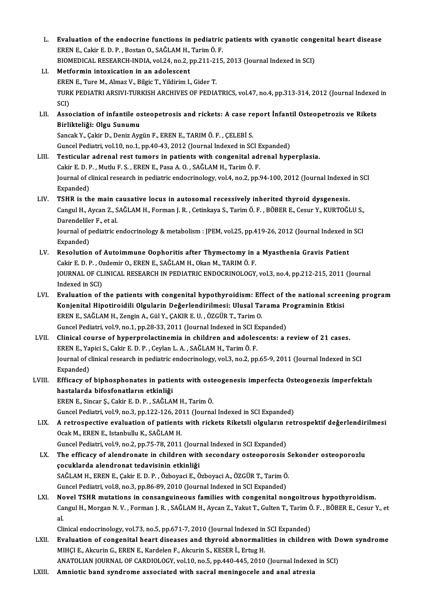- L. Evaluation of the endocrine functions in pediatric patients with cyanotic congenital heart disease Evaluation of the endocrine functions in pediatric<br>EREN E., Cakir E. D. P. , Bostan O., SAĞLAM H., Tarim Ö. F.<br>PIOMEDICAL PESEARCH INDIA vel 24 no 2 nn 211 215 Evaluation of the endocrine functions in pediatric patients with cyanotic cong<br>EREN E., Cakir E. D. P. , Bostan O., SAĞLAM H., Tarim Ö. F.<br>BIOMEDICAL RESEARCH-INDIA, vol.24, no.2, pp.211-215, 2013 (Journal Indexed in SCI)<br> EREN E., Cakir E. D. P., Bostan O., SAĞLAM H., Tarim Ö. F.<br>BIOMEDICAL RESEARCH-INDIA, vol.24, no.2, pp.211-215,<br>LI. Metformin intoxication in an adolescent<br>EREN E., Ture M., Almaz V., Bilgic T., Yildirim I., Gider T. BIOMEDICAL RESEARCH-INDIA, vol.24, no.2, pp.211-215, 2013 (Journal Indexed in SCI)
- Metformin intoxication in an adolescent<br>EREN E., Ture M., Almaz V., Bilgic T., Yildirim I., Gider T.<br>TURK PEDIATRI ARSIVI-TURKISH ARCHIVES OF PEDIATRICS, vol.47, no.4, pp.313-314, 2012 (Journal Indexed in<br>SCD EREN<br>TURI<br>SCI)<br>Assa TURK PEDIATRI ARSIVI-TURKISH ARCHIVES OF PEDIATRICS, vol.47, no.4, pp.313-314, 2012 (Journal Indexed<br>SCI)<br>LII. Association of infantile osteopetrosis and rickets: A case report İnfantil Osteopetrozis ve Rikets<br>Pirlikteliği
- SCI)<br>LII. Association of infantile osteopetrosis and rickets: A case report İnfantil Osteopetrozis ve Rikets<br>Birlikteliği: Olgu Sunumu

SancakY.,ÇakirD.,DenizAygünF.,ERENE.,TARIMÖ.F. ,ÇELEBİ S. Guncel Pediatri, vol.10, no.1, pp.40-43, 2012 (Journal Indexed in SCI Expanded)

- LIII. Testicular adrenal rest tumors in patients with congenital adrenal hyperplasia. Cakir E.D.P. ,Mutlu F.S. ,ERENE.,PasaA.O. ,SAĞLAMH.,TarimÖ.F. Testicular adrenal rest tumors in patients with congenital adrenal hyperplasia.<br>Cakir E. D. P. , Mutlu F. S. , EREN E., Pasa A. O. , SAĞLAM H., Tarim Ö. F.<br>Journal of clinical research in pediatric endocrinology, vol.4, no Cakir E. D. F<br>Journal of c<br>Expanded)<br>TSHP is th Journal of clinical research in pediatric endocrinology, vol.4, no.2, pp.94-100, 2012 (Journal Indexed<br>Expanded)<br>LIV. TSHR is the main causative locus in autosomal recessively inherited thyroid dysgenesis.<br>Cangul H. Avgan
- Expanded)<br>TSHR is the main causative locus in autosomal recessively inherited thyroid dysgenesis.<br>Cangul H., Aycan Z., SAĞLAM H., Forman J. R. , Cetinkaya S., Tarim Ö. F. , BÖBER E., Cesur Y., KURTOĞLU S.,<br>Perendelilar E. TSHR is the main c<br>Cangul H., Aycan Z., S<br>Darendeliler F., et al.<br>Journal of podiatric a Cangul H., Aycan Z., SAĞLAM H., Forman J. R. , Cetinkaya S., Tarim Ö. F. , BÖBER E., Cesur Y., KURTOĞLU S.,<br>Darendeliler F., et al.<br>Journal of pediatric endocrinology & metabolism : JPEM, vol.25, pp.419-26, 2012 (Journal I

Darendeliler F., et al.<br>Journal of pediatric endocrinology & metabolism : JPEM, vol.25, pp.419-26, 2012 (Journal Indexed in SCI<br>Expanded) Journal of pediatric endocrinology & metabolism : JPEM, vol.25, pp.419-26, 2012 (Journal Indexed in<br>Expanded)<br>LV. Resolution of Autoimmune Oophoritis after Thymectomy in a Myasthenia Gravis Patient<br>Colir E.D. B. Ordomir O.

- Expanded)<br>Resolution of Autoimmune Oophoritis after Thymectomy in <br>Cakir E. D. P. , Ozdemir O., EREN E., SAĞLAM H., Okan M., TARIM Ö. F.<br>JOUPMAL OF CLINICAL PESEARCH IN PEDIATRIC ENDOCPINOLOCY Resolution of Autoimmune Oophoritis after Thymectomy in a Myasthenia Gravis Patient<br>Cakir E. D. P. , Ozdemir O., EREN E., SAĞLAM H., Okan M., TARIM Ö. F.<br>JOURNAL OF CLINICAL RESEARCH IN PEDIATRIC ENDOCRINOLOGY, vol.3, no.4 Cakir E. D. P. , O.<br>JOURNAL OF CL<br>Indexed in SCI)<br>Evaluation of JOURNAL OF CLINICAL RESEARCH IN PEDIATRIC ENDOCRINOLOGY, vol.3, no.4, pp.212-215, 2011 (Journal<br>Indexed in SCI)<br>LVI. Evaluation of the patients with congenital hypothyroidism: Effect of the national screening program<br>Konje
- Indexed in SCI)<br>Evaluation of the patients with congenital hypothyroidism: Effect of the national scree<br>Konjenital Hipotiroidili Olgularin Değerlendirilmesi: Ulusal Tarama Programinin Etkisi<br>FREN E. SAČLAM H. Zongin A. Gil Evaluation of the patients with congenital hypothyroidism: Eff<br>Konjenital Hipotiroidili Olgularin Değerlendirilmesi: Ulusal Ta<br>EREN E., SAĞLAM H., Zengin A., Gül Y., ÇAKIR E. U. , ÖZGÜR T., Tarim O.<br>Cungel Pediatri vel 9, Konjenital Hipotiroidili Olgularin Değerlendirilmesi: Ulusal Tarama Programinin Etkisi<br>EREN E., SAĞLAM H., Zengin A., Gül Y., ÇAKIR E. U. , ÖZGÜR T., Tarim O.<br>Guncel Pediatri, vol.9, no.1, pp.28-33, 2011 (Journal Indexed i EREN E., SAĞLAM H., Zengin A., Gül Y., ÇAKIR E. U. , ÖZGÜR T., Tarim O.<br>Guncel Pediatri, vol.9, no.1, pp.28-33, 2011 (Journal Indexed in SCI Expanded)<br>LVII. Clinical course of hyperprolactinemia in children and adolescents
- Guncel Pediatri, vol.9, no.1, pp.28-33, 2011 (Journal Indexed in SCI E.<br>Clinical course of hyperprolactinemia in children and adoles<br>EREN E., Yapici S., Cakir E. D. P. , Ceylan L. A. , SAĞLAM H., Tarim Ö. F.<br>Journal of cli Clinical course of hyperprolactinemia in children and adolescents: a review of 21 cases.<br>EREN E., Yapici S., Cakir E. D. P. , Ceylan L. A. , SAĞLAM H., Tarim Ö. F.<br>Journal of clinical research in pediatric endocrinology, v EREN E., Yapici S., Cakir E. D. P. , Ceylan L. A. , SAĞLAM H., Tarim Ö. F.<br>Journal of clinical research in pediatric endocrinology, vol.3, no.2, pp.65-9, 2011 (Journal Indexed in SCI<br>Expanded) Journal of clinical research in pediatric endocrinology, vol.3, no.2, pp.65-9, 2011 (Journal Indexed in SCI<br>Expanded)<br>LVIII. Efficacy of biphosphonates in patients with osteogenesis imperfecta Osteogenezis imperfektalı<br>has
- Expanded)<br>Efficacy of biphosphonates in patie<br>hastalarda bifosfonatların etkinliği<br>EREN E. Sincar S. Cokir E. D. B. SAČLAI Efficacy of biphosphonates in patients with ost<br>hastalarda bifosfonatların etkinliği<br>EREN E., Sincar Ş., Cakir E. D. P. , SAĞLAM H., Tarim Ö.<br>Cungel Bedietri vel 9 no 2 nn 122 126 2011 (Journa hastalarda bifosfonatların etkinliği<br>EREN E., Sincar Ş., Cakir E. D. P. , SAĞLAM H., Tarim Ö.<br>Guncel Pediatri, vol.9, no.3, pp.122-126, 2011 (Journal Indexed in SCI Expanded)

- EREN E., Sincar Ş., Cakir E. D. P. , SAĞLAM H., Tarim Ö.<br>Guncel Pediatri, vol.9, no.3, pp.122-126, 2011 (Journal Indexed in SCI Expanded)<br>LIX. A retrospective evaluation of patients with rickets Riketsli olguların retr Ocak M., EREN E., Istanbullu K., SAĞLAM H.<br>Guncel Pediatri, vol.9, no.2, pp.75-78, 2011 (Journal Indexed in SCI Expanded) A retrospective evaluation of patients with rickets Riketsli olguların r<br>Ocak M., EREN E., Istanbullu K., SAĞLAM H.<br>Guncel Pediatri, vol.9, no.2, pp.75-78, 2011 (Journal Indexed in SCI Expanded)<br>The efficesy of alendronate
- LX. The efficacy of alendronate in children with secondary osteoporosis Sekonder osteoporozlu çocuklarda alendronat tedavisinin etkinliǧi The efficacy of alendronate in children with secondary osteoporosis S<br>çocuklarda alendronat tedavisinin etkinliği<br>SAĞLAM H., EREN E., Çakir E. D. P. , Özboyaci E., Özboyaci A., ÖZGÜR T., Tarim Ö.<br>Cungel Pediatri vel 8. no. çocuklarda alendronat tedavisinin etkinliği<br>SAĞLAM H., EREN E., Çakir E. D. P. , Özboyaci E., Özboyaci A., ÖZGÜR T., Tarim Ö<br>Guncel Pediatri, vol.8, no.3, pp.86-89, 2010 (Journal Indexed in SCI Expanded)<br>Novel TSHP mutatio Guncel Pediatri, vol.8, no.3, pp.86-89, 2010 (Journal Indexed in SCI Expanded)<br>LXI. Novel TSHR mutations in consanguineous families with congenital nongoitrous hypothyroidism.
- Guncel Pediatri, vol.8, no.3, pp.86-89, 2010 (Journal Indexed in SCI Expanded)<br>Novel TSHR mutations in consanguineous families with congenital nongoitrous hypothyroidism.<br>Cangul H., Morgan N. V. , Forman J. R. , SAĞLAM H., Nc<br>Ca<br>al. Cangul H., Morgan N. V. , Forman J. R. , SAĞLAM H., Aycan Z., Yakut T., Gulten T., Tarim Č<br>al.<br>Clinical endocrinology, vol.73, no.5, pp.671-7, 2010 (Journal Indexed in SCI Expanded)<br>Evaluation of consenitel beart diseases

al.<br>Clinical endocrinology, vol.73, no.5, pp.671-7, 2010 (Journal Indexed in SCI Expanded)<br>LXII. Evaluation of congenital heart diseases and thyroid abnormalities in children with Down syndrome<br>MUCLE, Alrawin G. EREN E. Ka Clinical endocrinology, vol.73, no.5, pp.671-7, 2010 (Journal Indexed in<br>Evaluation of congenital heart diseases and thyroid abnormali<br>MIHÇI E., Akcurin G., EREN E., Kardelen F., Akcurin S., KESER İ., Ertug H.<br>ANATOLIAN JO Evaluation of congenital heart diseases and thyroid abnormalities in children with De<br>MIHÇI E., Akcurin G., EREN E., Kardelen F., Akcurin S., KESER İ., Ertug H.<br>ANATOLIAN JOURNAL OF CARDIOLOGY, vol.10, no.5, pp.440-445, 20 MIHÇI E., Akcurin G., EREN E., Kardelen F., Akcurin S., KESER İ., Ertug H.<br>ANATOLIAN JOURNAL OF CARDIOLOGY, vol.10, no.5, pp.440-445, 2010 (Journal Indexed in SCI)<br>LXIII. Amniotic band syndrome associated with sacral m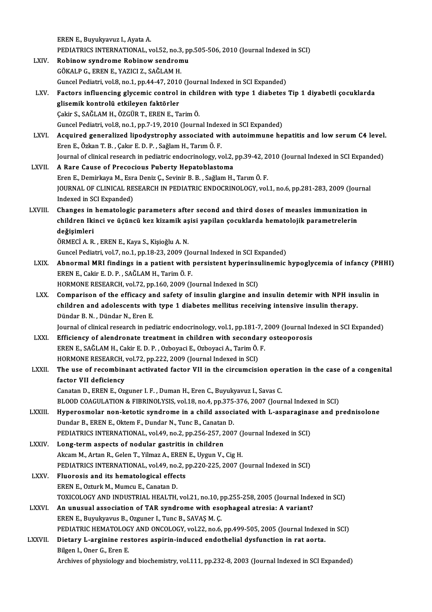|                | EREN E., Buyukyavuz I., Ayata A.                                                                                 |
|----------------|------------------------------------------------------------------------------------------------------------------|
|                | PEDIATRICS INTERNATIONAL, vol.52, no.3, pp.505-506, 2010 (Journal Indexed in SCI)                                |
| LXIV.          | Robinow syndrome Robinow sendromu                                                                                |
|                | GÖKALP G., EREN E., YAZICI Z., SAĞLAM H.                                                                         |
|                | Guncel Pediatri, vol.8, no.1, pp.44-47, 2010 (Journal Indexed in SCI Expanded)                                   |
| LXV.           | Factors influencing glycemic control in children with type 1 diabetes Tip 1 diyabetli çocuklarda                 |
|                | glisemik kontrolü etkileyen faktörler                                                                            |
|                | Çakir S., SAĞLAM H., ÖZGÜR T., EREN E., Tarim Ö.                                                                 |
|                | Guncel Pediatri, vol.8, no.1, pp.7-19, 2010 (Journal Indexed in SCI Expanded)                                    |
| LXVI.          | Acquired generalized lipodystrophy associated with autoimmune hepatitis and low serum C4 level.                  |
|                | Eren E., Özkan T. B., Çakır E. D. P., Sağlam H., Tarım Ö. F.                                                     |
|                | Journal of clinical research in pediatric endocrinology, vol.2, pp.39-42, 2010 (Journal Indexed in SCI Expanded) |
| LXVII.         | A Rare Cause of Precocious Puberty Hepatoblastoma                                                                |
|                | Eren E., Demirkaya M., Esra Deniz Ç., Sevinir B. B., Sağlam H., Tarım Ö. F.                                      |
|                | JOURNAL OF CLINICAL RESEARCH IN PEDIATRIC ENDOCRINOLOGY, vol.1, no.6, pp.281-283, 2009 (Journal                  |
|                | Indexed in SCI Expanded)                                                                                         |
| <b>LXVIII</b>  | Changes in hematologic parameters after second and third doses of measles immunization in                        |
|                | children Ikinci ve üçüncü kez kizamik aşisi yapilan çocuklarda hematolojik parametrelerin                        |
|                | değişimleri                                                                                                      |
|                | ÖRMECİ A. R., EREN E., Kaya S., Kişioğlu A. N.                                                                   |
|                | Guncel Pediatri, vol.7, no.1, pp.18-23, 2009 (Journal Indexed in SCI Expanded)                                   |
| LXIX.          | Abnormal MRI findings in a patient with persistent hyperinsulinemic hypoglycemia of infancy (PHHI)               |
|                | EREN E., Cakir E. D. P., SAĞLAM H., Tarim Ö. F.                                                                  |
|                | HORMONE RESEARCH, vol.72, pp.160, 2009 (Journal Indexed in SCI)                                                  |
| LXX.           | Comparison of the efficacy and safety of insulin glargine and insulin detemir with NPH insulin in                |
|                | children and adolescents with type 1 diabetes mellitus receiving intensive insulin therapy.                      |
|                | Dündar B.N., Dündar N., Eren E.                                                                                  |
|                | Journal of clinical research in pediatric endocrinology, vol.1, pp.181-7, 2009 (Journal Indexed in SCI Expanded) |
| LXXI.          | Efficiency of alendronate treatment in children with secondary osteoporosis                                      |
|                | EREN E., SAĞLAM H., Cakir E. D. P., Ozboyaci E., Ozboyaci A., Tarim Ö. F.                                        |
|                | HORMONE RESEARCH, vol.72, pp.222, 2009 (Journal Indexed in SCI)                                                  |
| <b>LXXII</b> . | The use of recombinant activated factor VII in the circumcision operation in the case of a congenital            |
|                | factor VII deficiency                                                                                            |
|                | Canatan D., EREN E., Ozguner I. F., Duman H., Eren C., Buyukyavuz I., Savas C.                                   |
|                | BLOOD COAGULATION & FIBRINOLYSIS, vol.18, no.4, pp.375-376, 2007 (Journal Indexed in SCI)                        |
| LXXIII.        | Hyperosmolar non-ketotic syndrome in a child associated with L-asparaginase and prednisolone                     |
|                | Dundar B., EREN E., Oktem F., Dundar N., Tunc B., Canatan D.                                                     |
|                | PEDIATRICS INTERNATIONAL, vol.49, no.2, pp.256-257, 2007 (Journal Indexed in SCI)                                |
| LXXIV.         | Long-term aspects of nodular gastritis in children                                                               |
|                | Akcam M., Artan R., Gelen T., Yilmaz A., EREN E., Uygun V., Cig H.                                               |
|                | PEDIATRICS INTERNATIONAL, vol 49, no 2, pp.220-225, 2007 (Journal Indexed in SCI)                                |
| <b>LXXV</b>    | Fluorosis and its hematological effects                                                                          |
|                | EREN E., Ozturk M., Mumcu E., Canatan D.                                                                         |
|                | TOXICOLOGY AND INDUSTRIAL HEALTH, vol.21, no.10, pp.255-258, 2005 (Journal Indexed in SCI)                       |
| <b>LXXVI</b>   | An unusual association of TAR syndrome with esophageal atresia: A variant?                                       |
|                | EREN E., Buyukyavus B., Ozguner I., Tunc B., SAVAŞ M. Ç.                                                         |
|                | PEDIATRIC HEMATOLOGY AND ONCOLOGY, vol.22, no.6, pp.499-505, 2005 (Journal Indexed in SCI)                       |
| LXXVII.        | Dietary L-arginine restores aspirin-induced endothelial dysfunction in rat aorta.                                |
|                | Bilgen I., Oner G., Eren E.                                                                                      |
|                | Archives of physiology and biochemistry, vol.111, pp.232-8, 2003 (Journal Indexed in SCI Expanded)               |
|                |                                                                                                                  |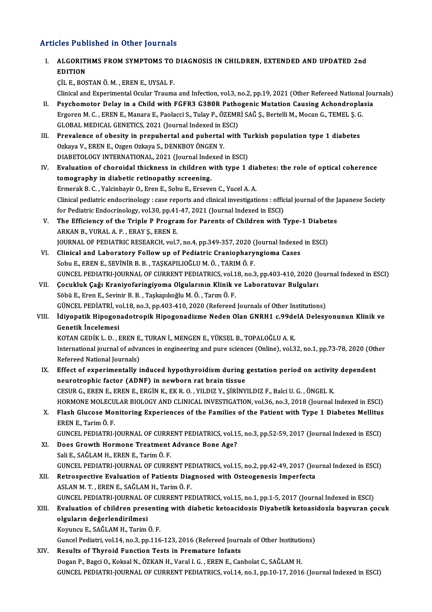- Articles Published in Other Journals rticles Published in Other Journals<br>I. ALGORITHMS FROM SYMPTOMS TO DIAGNOSIS IN CHILDREN, EXTENDED AND UPDATED 2nd ALGORITI<br>EDITION<br>CUE ROS EDITION<br>ÇİL E., BOSTAN Ö. M. , EREN E., UYSAL F. Clinical and Experimental Ocular Trauma and Infection, vol.3, no.2, pp.19, 2021 (Other Refereed National Journals) II. Psychomotor Delay in a Child with FGFR3 G380R Pathogenic Mutation Causing Achondroplasia Clinical and Experimental Ocular Trauma and Infection, vol.3, no.2, pp.19, 2021 (Other Refereed National<br>Psychomotor Delay in a Child with FGFR3 G380R Pathogenic Mutation Causing Achondropla<br>Ergoren M. C. , EREN E., Manara Psychomotor Delay in a Child with FGFR3 G380R Patho<br>Ergoren M. C. , EREN E., Manara E., Paolacci S., Tulay P., ÖZEMR<br>GLOBAL MEDICAL GENETICS, 2021 (Journal Indexed in ESCI)<br>Prevelance of sheeity in prepubertal and pubertal Ergoren M. C., EREN E., Manara E., Paolacci S., Tulay P., ÖZEMRİ SAĞ Ş., Bertelli M., Mocan G., TEMEL Ş. G<br>GLOBAL MEDICAL GENETICS, 2021 (Journal Indexed in ESCI)<br>III. Prevalence of obesity in prepubertal and pubertal with GLOBAL MEDICAL GENETICS, 2021 (Journal Indexed in ESCI)<br>Prevalence of obesity in prepubertal and pubertal with Ti<br>Ozkaya V., EREN E., Ozgen Ozkaya S., DENKBOY ÖNGEN Y.<br>DIABETOLOGY INTERNATIONAL, 2021 (Journal Indexed in ES III. Prevalence of obesity in prepubertal and pubertal with Turkish population type 1 diabetes IV. Evaluation of choroidal thickness in children with type 1 diabetes: the role of optical coherence tomography in diabetic retinopathy screening. ErmerakB.C. ,YalcinbayirO.,ErenE.,SobuE.,ErsevenC.,YucelA.A. Clinical pediatric endocrinology : case reports and clinical investigations : official journal of the Japanese Society Ermerak B. C. , Yalcinbayir O., Eren E., Sobu E., Erseven C., Yucel A. A.<br>Clinical pediatric endocrinology : case reports and clinical investigations : offic<br>for Pediatric Endocrinology, vol.30, pp.41-47, 2021 (Journal Ind V. The Efficiency of the Triple P Program for Parents of Children with Type-1 Diabetes ARKAN B., VURAL A. P., ERAY S., EREN E. for Pediatric Endocrinology, vol.30, pp.41<br>The Efficiency of the Triple P Progra<br>ARKAN B., VURAL A. P. , ERAY Ş., EREN E.<br>JOURNAL OF PEDIATRIC PESEARCH .vol.7 The Efficiency of the Triple P Program for Parents of Children with Type-1 Diabet<br>ARKAN B., VURAL A. P. , ERAY \$., EREN E.<br>JOURNAL OF PEDIATRIC RESEARCH, vol.7, no.4, pp.349-357, 2020 (Journal Indexed in ESCI)<br>Clinical and ARKAN B., VURAL A. P., ERAY Ş., EREN E.<br>JOURNAL OF PEDIATRIC RESEARCH, vol.7, no.4, pp.349-357, 2020 (Journal Indexed<br>VI. Clinical and Laboratory Follow up of Pediatric Craniopharyngioma Cases<br>Soby E. EREN E. SEVINIR B. B. JOURNAL OF PEDIATRIC RESEARCH, vol.7, no.4, pp.349-357, 2020 (<br>Clinical and Laboratory Follow up of Pediatric Craniophary<br>Sobu E., EREN E., SEVİNİR B. B. , TAŞKAPILIOĞLU M. Ö. , TARIM Ö. F.<br>CUNCEL PEDIATRI JOURNAL OF CURRE Clinical and Laboratory Follow up of Pediatric Craniopharyngioma Cases<br>Sobu E., EREN E., SEVINIR B. B. , TAŞKAPILIOĞLU M. Ö. , TARIM Ö. F.<br>GUNCEL PEDIATRI-JOURNAL OF CURRENT PEDIATRICS, vol.18, no.3, pp.403-410, 2020 (Jour Sobu E., EREN E., SEVİNİR B. B. , TAŞKAPILIOĞLU M. Ö. , TARIM Ö. F.<br>GUNCEL PEDIATRI-JOURNAL OF CURRENT PEDIATRICS, vol.18, no.3, pp.403-410, 2020 (J<br>VII. Cocukluk Çağı Kraniyofaringiyoma Olgularının Klinik ve Laboratuvar B GUNCEL PEDIATRI-JOURNAL OF CURRENT PEDIATRICS, vol.1<br>Çocukluk Çağı Kraniyofaringiyoma Olgularının Klinik v<br>Söbü E., Eren E., Sevinir B. B., Taşkapılıoğlu M. Ö., Tarım Ö. F.<br>CÜNCEL PEDIATRI vol.19, no.2, np.403,410,2020 (Re Çocukluk Çağı Kraniyofaringiyoma Olgularının Klinik ve Laboratuvar Bulguları<br>Söbü E., Eren E., Sevinir B. B. , Taşkapılıoğlu M. Ö. , Tarım Ö. F.<br>GÜNCEL PEDİATRİ, vol.18, no.3, pp.403-410, 2020 (Refereed Journals of Other I Söbü E., Eren E., Sevinir B. B. , Taşkapılıoğlu M. Ö. , Tarım Ö. F.<br>GÜNCEL PEDİATRİ, vol.18, no.3, pp.403-410, 2020 (Refereed Journals of Other Institutions)<br>VIII. İdiyopatik Hipogonadotropik Hipogonadizme Neden Olan GNRH1 GÜNCEL PEDİATRİ, ve<br>İdiyopatik Hipogon<br>Genetik İncelemesi<br>KOTAN CEDİK L. D. L İdiyopatik Hipogonadotropik Hipogonadizme Neden Olan GNRH1 c.99de<br>Genetik İncelemesi<br>KOTAN GEDİK L. D. , EREN E., TURAN İ., MENGEN E., YÜKSEL B., TOPALOĞLU A. K.<br>International journal of advances in engineering and nure sc International journal of advances in engineering and pure sciences (Online), vol.32, no.1, pp.73-78, 2020 (Other Refereed National Journals) KOTAN GEDIK L. D. , EREN E.<br>International journal of adva<br>Refereed National Journals)<br>Effect of evnerimentally i International journal of advances in engineering and pure sciences (Online), vol.32, no.1, pp.73-78, 2020 (Oth<br>Refereed National Journals)<br>IX. Effect of experimentally induced hypothyroidism during gestation period on acti Refereed National Journals)<br>Effect of experimentally induced hypothyroidism during<br>neurotrophic factor (ADNF) in newborn rat brain tissue<br>CESUB G, EREN E, EREN E, ERGIN K, EK B, O, VU DIZ V, SIRINV Effect of experimentally induced hypothyroidism during gestation period on activity<br>neurotrophic factor (ADNF) in newborn rat brain tissue<br>CESUR G., EREN E., EREN E., ERGİN K., EKR.O. , YILDIZ Y., ŞİRİNYILDIZ F., Balci U. neurotrophic factor (ADNF) in newborn rat brain tissue<br>CESUR G., EREN E., EREN E., ERGİN K., EK R. O. , YILDIZ Y., ŞİRİNYILDIZ F., Balci U. G. , ÖNGEL K.<br>HORMONE MOLECULAR BIOLOGY AND CLINICAL INVESTIGATION, vol.36, no.3, CESUR G., EREN E., EREN E., ERGIN K., EK R. O. , YILDIZ Y., ŞIRINYILDIZ F., Balci U. G. , ÖNGEL K.<br>HORMONE MOLECULAR BIOLOGY AND CLINICAL INVESTIGATION, vol.36, no.3, 2018 (Journal Indexed in ESCI)<br>X. Flash Glucose Monitor
	- HORMONE MOLECU<br>Flash Glucose Mo:<br>EREN E., Tarim Ö. F.<br>CUNCEL BEDLATPLI Flash Glucose Monitoring Experiences of the Families of the Patient with Type 1 Diabetes Mellitus<br>EREN E., Tarim Ö. F.<br>GUNCEL PEDIATRI-JOURNAL OF CURRENT PEDIATRICS, vol.15, no.3, pp.52-59, 2017 (Journal Indexed in ESCI)<br>D
	- EREN E., Tarim Ö. F.<br>GUNCEL PEDIATRI-JOURNAL OF CURRENT PEDIATRICS, vol.1!<br>XI. Does Growth Hormone Treatment Advance Bone Age?<br>Seli E. SAČLAM U. EREN E. Tarim Ö. F. GUNCEL PEDIATRI-JOURNAL OF CURRI<br>Does Growth Hormone Treatment<br>Sali E., SAĞLAM H., EREN E., Tarim Ö. F.<br>CUNCEL PEDIATRI JOURNAL OF CURRI XI. Does Growth Hormone Treatment Advance Bone Age?<br>Sali E., SAĞLAM H., EREN E., Tarim Ö. F.<br>GUNCEL PEDIATRI-JOURNAL OF CURRENT PEDIATRICS, vol.15, no.2, pp.42-49, 2017 (Journal Indexed in ESCI)
- Sali E., SAĞLAM H., EREN E., Tarim Ö. F.<br>GUNCEL PEDIATRI-JOURNAL OF CURRENT PEDIATRICS, vol.15, no.2, pp.42-49, 2017 (Journal St. 2017)<br>XII. Retrospective Evaluation of Patients Diagnosed with Osteogenesis Imperfecta GUNCEL PEDIATRI-JOURNAL OF CURRENT PE<br>Retrospective Evaluation of Patients Dia<sub>l</sub><br>ASLAN M. T. , EREN E., SAĞLAM H., Tarim Ö. F.<br>CUNCEL PEDIATRI JOURNAL OF CURRENT PE Retrospective Evaluation of Patients Diagnosed with Osteogenesis Imperfecta<br>ASLAN M. T. , EREN E., SAĞLAM H., Tarim Ö. F.<br>GUNCEL PEDIATRI-JOURNAL OF CURRENT PEDIATRICS, vol.15, no.1, pp.1-5, 2017 (Journal Indexed in ESCI)<br> ASLAN M. T. , EREN E., SAĞLAM H., Tarim Ö. F.<br>GUNCEL PEDIATRI-JOURNAL OF CURRENT PEDIATRICS, vol.15, no.1, pp.1-5, 2017 (Journal Indexed in ESCI)<br>XIII. Evaluation of children presenting with diabetic ketoacidosis Diyab

## GUNCEL PEDIATRI-JOURNAL ON<br>Evaluation of children prese<br>olguların değerlendirilmesi<br>Komney E. SAČLAM H. Tarim Evaluation of children presenti:<br>olguların değerlendirilmesi<br>Koyuncu E., SAĞLAM H., Tarim Ö. F.<br>Cuncel Bediatri vel 14, no 3, np 116

```
olguların değerlendirilmesi<br>Koyuncu E., SAĞLAM H., Tarim Ö. F.<br>Guncel Pediatri, vol.14, no.3, pp.116-123, 2016 (Refereed Journals of Other Institutions)
```
XIV. Results of Thyroid Function Tests in Premature Infants

Dogan P., Bagci O., Koksal N., ÖZKAN H., Varal I. G., EREN E., Canbolat C., SAĞLAM H. GUNCEL PEDIATRI-JOURNAL OF CURRENT PEDIATRICS, vol.14, no.1, pp.10-17, 2016 (Journal Indexed in ESCI)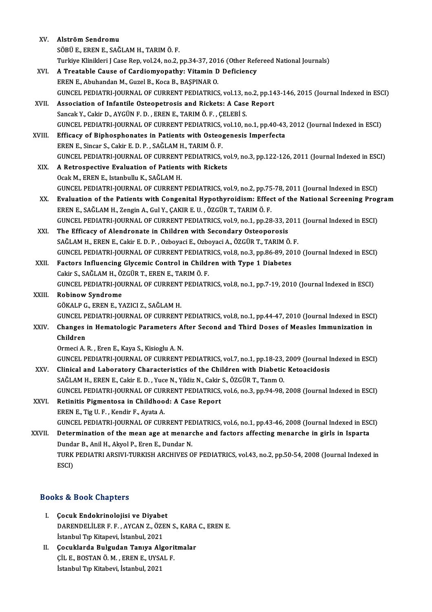| XV.    | Alström Sendromu                                                                                                                                                                                     |
|--------|------------------------------------------------------------------------------------------------------------------------------------------------------------------------------------------------------|
|        | SÖBÜ E., EREN E., SAĞLAM H., TARIM Ö. F.                                                                                                                                                             |
|        | Turkiye Klinikleri J Case Rep, vol.24, no.2, pp.34-37, 2016 (Other Refereed National Journals)                                                                                                       |
| XVI.   | A Treatable Cause of Cardiomyopathy: Vitamin D Deficiency                                                                                                                                            |
|        | EREN E., Abuhandan M., Guzel B., Koca B., BAŞPINAR O.                                                                                                                                                |
|        | GUNCEL PEDIATRI-JOURNAL OF CURRENT PEDIATRICS, vol.13, no.2, pp.143-146, 2015 (Journal Indexed in ESCI)                                                                                              |
| XVII.  | Association of Infantile Osteopetrosis and Rickets: A Case Report                                                                                                                                    |
|        | Sancak Y., Cakir D., AYGÜN F. D., EREN E., TARIM Ö. F., ÇELEBİ S.                                                                                                                                    |
|        | GUNCEL PEDIATRI-JOURNAL OF CURRENT PEDIATRICS, vol.10, no.1, pp.40-43, 2012 (Journal Indexed in ESCI)                                                                                                |
| XVIII. | Efficacy of Biphosphonates in Patients with Osteogenesis Imperfecta                                                                                                                                  |
|        | EREN E., Sincar S., Cakir E. D. P., SAĞLAM H., TARIM Ö. F.                                                                                                                                           |
|        | GUNCEL PEDIATRI-JOURNAL OF CURRENT PEDIATRICS, vol.9, no.3, pp.122-126, 2011 (Journal Indexed in ESCI)                                                                                               |
| XIX.   | A Retrospective Evaluation of Patients with Rickets                                                                                                                                                  |
|        | Ocak M., EREN E., Istanbullu K., SAĞLAM H.                                                                                                                                                           |
|        | GUNCEL PEDIATRI-JOURNAL OF CURRENT PEDIATRICS, vol.9, no.2, pp.75-78, 2011 (Journal Indexed in ESCI)                                                                                                 |
| XX.    | Evaluation of the Patients with Congenital Hypothyroidism: Effect of the National Screening Program                                                                                                  |
|        | EREN E., SAĞLAM H., Zengin A., Gul Y., ÇAKIR E. U., ÖZGÜR T., TARIM Ö. F.                                                                                                                            |
|        | GUNCEL PEDIATRI-JOURNAL OF CURRENT PEDIATRICS, vol.9, no.1, pp.28-33, 2011 (Journal Indexed in ESCI)                                                                                                 |
| XXI.   | The Efficacy of Alendronate in Children with Secondary Osteoporosis                                                                                                                                  |
|        | SAĞLAM H., EREN E., Cakir E. D. P., Ozboyaci E., Ozboyaci A., ÖZGÜR T., TARIM Ö. F.                                                                                                                  |
|        | GUNCEL PEDIATRI-JOURNAL OF CURRENT PEDIATRICS, vol.8, no.3, pp.86-89, 2010 (Journal Indexed in ESCI)                                                                                                 |
| XXII.  | Factors Influencing Glycemic Control in Children with Type 1 Diabetes                                                                                                                                |
|        | Cakir S., SAĞLAM H., ÖZGÜR T., EREN E., TARIM Ö. F.                                                                                                                                                  |
|        | GUNCEL PEDIATRI-JOURNAL OF CURRENT PEDIATRICS, vol.8, no.1, pp.7-19, 2010 (Journal Indexed in ESCI)                                                                                                  |
| XXIII. | <b>Robinow Syndrome</b>                                                                                                                                                                              |
|        | GÖKALP G., EREN E., YAZICI Z., SAĞLAM H.                                                                                                                                                             |
|        | GUNCEL PEDIATRI-JOURNAL OF CURRENT PEDIATRICS, vol.8, no.1, pp.44-47, 2010 (Journal Indexed in ESCI)                                                                                                 |
| XXIV.  | Changes in Hematologic Parameters After Second and Third Doses of Measles Immunization in                                                                                                            |
|        | Children                                                                                                                                                                                             |
|        | Ormeci A. R., Eren E., Kaya S., Kisioglu A. N.                                                                                                                                                       |
|        | GUNCEL PEDIATRI-JOURNAL OF CURRENT PEDIATRICS, vol.7, no.1, pp.18-23, 2009 (Journal Indexed in ESCI)                                                                                                 |
| XXV    | Clinical and Laboratory Characteristics of the Children with Diabetic Ketoacidosis                                                                                                                   |
|        | SAĞLAM H., EREN E., Cakir E. D., Yuce N., Yildiz N., Cakir S., ÖZGÜR T., Tanm O.                                                                                                                     |
|        | GUNCEL PEDIATRI-JOURNAL OF CURRENT PEDIATRICS, vol.6, no.3, pp.94-98, 2008 (Journal Indexed in ESCI)                                                                                                 |
| XXVI.  | Retinitis Pigmentosa in Childhood: A Case Report                                                                                                                                                     |
|        | EREN E., Tig U. F., Kendir F., Ayata A.                                                                                                                                                              |
|        | GUNCEL PEDIATRI-JOURNAL OF CURRENT PEDIATRICS, vol.6, no.1, pp.43-46, 2008 (Journal Indexed in ESCI)<br>Determination of the mean age at menarche and factors affecting menarche in girls in Isparta |
| XXVII. | Dundar B., Anil H., Akyol P., Eren E., Dundar N.                                                                                                                                                     |
|        | TURK PEDIATRI ARSIVI-TURKISH ARCHIVES OF PEDIATRICS, vol.43, no.2, pp.50-54, 2008 (Journal Indexed in                                                                                                |
|        | ESCI)                                                                                                                                                                                                |
|        |                                                                                                                                                                                                      |

### Books&Book Chapters

- I. Çocuk Endokrinolojisi ve Diyabet to & Doon anapters<br>Cocuk Endokrinolojisi ve Diyabet<br>DARENDELİLER F. F. , AYCAN Z., ÖZEN S., KARA C., EREN E.<br>İstanbul Tın Kitanevi, İstanbul, 2021 Çocuk Endokrinolojisi ve Diyabe<br>DARENDELİLER F. F. , AYCAN Z., ÖZE<br>İstanbul Tıp Kitapevi, İstanbul, 2021<br>Cosuklanda Bulgudan Tanıya Alg DARENDELİLER F. F., AYCAN Z., ÖZEN S., KARA<br>İstanbul Tıp Kitapevi, İstanbul, 2021<br>II. Cocuklarda Bulgudan Tanıya Algoritmalar<br>CU E. POSTAN Ö.M., EREN E. UYSAL E
- İstanbul Tıp Kitapevi, İstanbul, 2021<br>Çocuklarda Bulgudan Tanıya Algori<br>ÇİL E., BOSTAN Ö.M. , EREN E., UYSAL F.<br>İstanbul Tın Kitabevi, İstanbul 2021 Çocuklarda Bulgudan Tanıya Al<sub>i</sub><br>ÇİL E., BOSTAN Ö. M. , EREN E., UYS*l*<br>İstanbul Tıp Kitabevi, İstanbul, 2021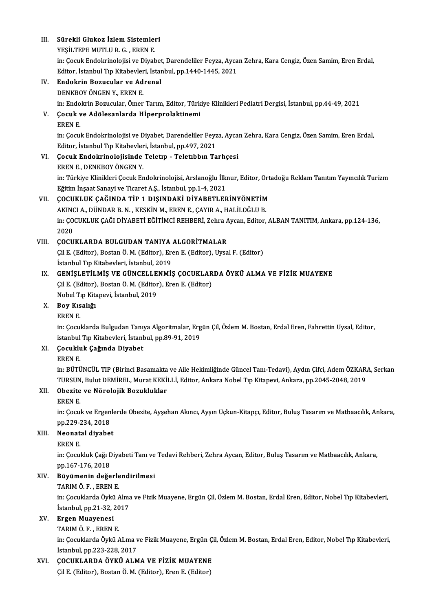| Ш.    | Sürekli Glukoz İzlem Sistemleri                                                                                     |
|-------|---------------------------------------------------------------------------------------------------------------------|
|       | YEŞİLTEPE MUTLU R. G., EREN E.                                                                                      |
|       | in: Çocuk Endokrinolojisi ve Diyabet, Darendeliler Feyza, Aycan Zehra, Kara Cengiz, Özen Samim, Eren Erdal,         |
|       | Editor, İstanbul Tıp Kitabevleri, İstanbul, pp.1440-1445, 2021                                                      |
| IV.   | Endokrin Bozucular ve Adrenal                                                                                       |
|       | DENKBOY ÖNGEN Y., EREN E.                                                                                           |
|       | in: Endokrin Bozucular, Ömer Tarım, Editor, Türkiye Klinikleri Pediatri Dergisi, İstanbul, pp.44-49, 2021           |
| V.    | Çocuk ve Adölesanlarda Hİperprolaktinemi                                                                            |
|       | <b>EREN E</b>                                                                                                       |
|       | in: Çocuk Endokrinolojisi ve Diyabet, Darendeliler Feyza, Aycan Zehra, Kara Cengiz, Özen Samim, Eren Erdal,         |
|       | Editor, İstanbul Tıp Kitabevleri, İstanbul, pp.497, 2021                                                            |
| VI.   | Çocuk Endokrinolojisinde Teletıp - Teletıbbın Tarhçesi                                                              |
|       | EREN E, DENKBOY ÖNGEN Y.                                                                                            |
|       | in: Türkiye Klinikleri Çocuk Endokrinolojisi, Arslanoğlu İlknur, Editor, Ortadoğu Reklam Tanıtım Yayıncılık Turizm  |
|       | Eğitim İnşaat Sanayi ve Ticaret A.Ş., İstanbul, pp.1-4, 2021                                                        |
| VII.  | ÇOCUKLUK ÇAĞINDA TİP 1 DIŞINDAKİ DİYABETLERİNYÖNETİM                                                                |
|       | AKINCI A., DÜNDAR B. N., KESKİN M., EREN E., ÇAYIR A., HALİLOĞLU B.                                                 |
|       | in: ÇOCUKLUK ÇAĞI DİYABETİ EĞİTİMCİ REHBERİ, Zehra Aycan, Editor, ALBAN TANITIM, Ankara, pp.124-136,                |
|       | 2020                                                                                                                |
| VIII. | ÇOCUKLARDA BULGUDAN TANIYA ALGORİTMALAR                                                                             |
|       | Çil E. (Editor), Bostan Ö. M. (Editor), Eren E. (Editor), Uysal F. (Editor)                                         |
|       | İstanbul Tıp Kitabevleri, İstanbul, 2019                                                                            |
| IX.   | GENIŞLETILMIŞ VE GÜNCELLENMIŞ ÇOCUKLARDA ÖYKÜ ALMA VE FIZIK MUAYENE                                                 |
|       | Çil E. (Editor), Bostan Ö. M. (Editor), Eren E. (Editor)                                                            |
|       | Nobel Tıp Kitapevi, İstanbul, 2019                                                                                  |
| X.    | Boy Kısalığı                                                                                                        |
|       | <b>EREN E</b>                                                                                                       |
|       | in: Çocuklarda Bulgudan Tanıya Algoritmalar, Ergün Çil, Özlem M. Bostan, Erdal Eren, Fahrettin Uysal, Editor,       |
|       | istanbul Tip Kitabevleri, İstanbul, pp.89-91, 2019                                                                  |
| XI.   | Çocukluk Çağında Diyabet                                                                                            |
|       | <b>EREN E</b>                                                                                                       |
|       | in: BÜTÜNCÜL TIP (Birinci Basamakta ve Aile Hekimliğinde Güncel Tanı-Tedavi), Aydın Çifci, Adem ÖZKARA, Serkan      |
|       | TURSUN, Bulut DEMİREL, Murat KEKİLLİ, Editor, Ankara Nobel Tıp Kitapevi, Ankara, pp.2045-2048, 2019                 |
| XII.  | Obezite ve Nörolojik Bozukluklar                                                                                    |
|       | EREN E                                                                                                              |
|       | in: Çocuk ve Ergenlerde Obezite, Ayşehan Akıncı, Ayşın Uçkun-Kitapçı, Editor, Buluş Tasarım ve Matbaacılık, Ankara, |
|       | pp.229-234, 2018                                                                                                    |
| XIII. | Neonatal diyabet                                                                                                    |
|       | EREN E                                                                                                              |
|       | in: Çocukluk Çağı Diyabeti Tanı ve Tedavi Rehberi, Zehra Aycan, Editor, Buluş Tasarım ve Matbaacılık, Ankara,       |
|       | pp 167-176, 2018                                                                                                    |
| XIV.  | Büyümenin değerlendirilmesi<br>TARIM Ö F , EREN E                                                                   |
|       | in: Çocuklarda Öykü Alma ve Fizik Muayene, Ergün Çil, Özlem M. Bostan, Erdal Eren, Editor, Nobel Tıp Kitabevleri,   |
|       | İstanbul, pp 21-32, 2017                                                                                            |
| XV.   | Ergen Muayenesi                                                                                                     |
|       | TARIM Ö F, EREN E.                                                                                                  |
|       | in: Çocuklarda Öykü ALma ve Fizik Muayene, Ergün Çil, Özlem M. Bostan, Erdal Eren, Editor, Nobel Tıp Kitabevleri,   |
|       | İstanbul, pp.223-228, 2017                                                                                          |
| XVI.  | ÇOCUKLARDA ÖYKÜ ALMA VE FİZİK MUAYENE                                                                               |
|       | Çil E. (Editor), Bostan Ö. M. (Editor), Eren E. (Editor)                                                            |
|       |                                                                                                                     |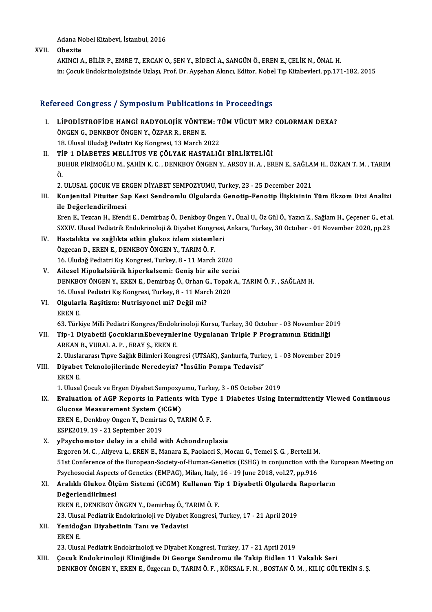Adana Nobel Kitabevi, İstanbul, 2016

XVII. Obezite

AKINCIA.,BİLİRP.,EMRET.,ERCANO.,ŞENY.,BİDECİA.,SANGÜNÖ.,ERENE.,ÇELİKN.,ÖNALH. in: Çocuk Endokrinolojisinde Uzlaşı, Prof. Dr. Ayşehan Akıncı, Editor, Nobel Tıp Kitabevleri, pp.171-182, 2015

### Refereed Congress / Symposium Publications in Proceedings

- efereed Congress / Symposium Publications in Proceedings<br>I. LIPODISTROFIDE HANGI RADYOLOJIK YÖNTEM: TÜM VÜCUT MR? COLORMAN DEXA?<br>ÖNCEN C. DENKROV ÖNCEN V. ÖZRAR R. EREN E TÖÖLGÜNGEN YER SIMPOOLUM TUDALUMUST<br>LİPODİSTROFİDE HANGİ RADYOLOJİK YÖNTE<br>ÖNGEN G., DENKBOY ÖNGEN Y., ÖZPAR R., EREN E. LİPODİSTROFİDE HANGİ RADYOLOJİK YÖNTEM: T<br>ÖNGEN G., DENKBOY ÖNGEN Y., ÖZPAR R., EREN E.<br>18. Ulusal Uludağ Pediatri Kış Kongresi, 13 March 2022<br>TİP 1 DİAPETES MELLİTUS VE ÇÖLYAK HASTALIĞ ÖNGEN G., DENKBOY ÖNGEN Y., ÖZPAR R., EREN E.<br>18. Ulusal Uludağ Pediatri Kış Kongresi, 13 March 2022<br>II. TİP 1 DİABETES MELLİTUS VE ÇÖLYAK HASTALIĞI BİRLİKTELİĞİ
- 18. Ulusal Uludağ Pediatri Kış Kongresi, 13 March 2022<br>TİP 1 DİABETES MELLİTUS VE ÇÖLYAK HASTALIĞI BİRLİKTELİĞİ<br>BUHUR PİRİMOĞLU M., ŞAHİN K. C. , DENKBOY ÖNGEN Y., ARSOY H. A. , EREN E., SAĞLAM H., ÖZKAN T. M. , TARIM<br>Ö Tİ<br>Bl<br>Ö. BUHUR PİRİMOĞLU M., ŞAHİN K. C. , DENKBOY ÖNGEN Y., ARSOY H. A. , EREN E., SAĞLA<br>Ö.<br>2. ULUSAL ÇOCUK VE ERGEN DİYABET SEMPOZYUMU, Turkey, 23 - 25 December 2021<br>Konianital Bitujtar San Kasi Sandramlu Olsularda Canatin Fanati Ö.<br>II. Konjenital ÇOCUK VE ERGEN DİYABET SEMPOZYUMU, Turkey, 23 - 25 December 2021<br>III. Konjenital Pituiter Sap Kesi Sendromlu Olgularda Genotip-Fenotip İlişkisinin Tüm Ekzom Dizi Analizi

ile Değerlendirilmesi Konjenital Pituiter Sap Kesi Sendromlu Olgularda Genotip-Fenotip İlişkisinin Tüm Ekzom Dizi Analizi<br>ile Değerlendirilmesi<br>Eren E., Tezcan H., Efendi E., Demirbaş Ö., Denkboy Öngen Y., Ünal U., Öz Gül Ö., Yazıcı Z., Sağlam

ile Değerlendirilmesi<br>Eren E., Tezcan H., Efendi E., Demirbaş Ö., Denkboy Öngen Y., Ünal U., Öz Gül Ö., Yazıcı Z., Sağlam H., Çeçener G., et al<br>SXXIV. Ulusal Pediatrik Endokrinoloji & Diyabet Kongresi, Ankara, Turkey, 30 O Eren E., Tezcan H., Efendi E., Demirbaş Ö., Denkboy Öngen<br>SXXIV. Ulusal Pediatrik Endokrinoloji & Diyabet Kongresi,<br>IV. Hastalıkta ve sağlıkta etkin glukoz izlem sistemleri<br>Özgeçen D. EREN E. DENKROV ÖNCEN V. TARIM Ö. E

- SXXIV. Ulusal Pediatrik Endokrinoloji & Diyabet Kongr<br>Hastalıkta ve sağlıkta etkin glukoz izlem sistemle<br>Özgecan D., EREN E., DENKBOY ÖNGEN Y., TARIM Ö. F.<br>16 Uludağ Pediatri Kıs Kongresi Turkey 8 11 Marsh Özgecan D., EREN E., DENKBOY ÖNGEN Y., TARIM Ö. F.<br>16. Uludağ Pediatri Kış Kongresi, Turkey, 8 - 11 March 2020 Özgecan D., EREN E., DENKBOY ÖNGEN Y., TARIM Ö. F.<br>16. Uludağ Pediatri Kış Kongresi, Turkey, 8 - 11 March 2020<br>V. Ailesel Hipokalsiürik hiperkalsemi: Geniş bir aile serisi<br>DENKBOY ÖNGEN Y. EREN E. Demirbas Ö. Orban G. Tena
- DENKBOY ÖNGEN Y., EREN E., Demirbaş Ö., Orhan G., Topak A., TARIM Ö. F. , SAĞLAM H.<br>16. Ulusal Pediatri Kıs Kongresi. Turkey. 8 11 March 2020 Ailesel Hipokalsiürik hiperkalsemi: Geniş bir aile ser<br>DENKBOY ÖNGEN Y., EREN E., Demirbaş Ö., Orhan G., Topak<br>16. Ulusal Pediatri Kış Kongresi, Turkey, 8 - 11 March 2020<br>Olaylarla Pesitiam: Nutrisyanal mi? Değil mi? DENKBOY ÖNGEN Y., EREN E., Demirbaş Ö., Orhan G<br>16. Ulusal Pediatri Kış Kongresi, Turkey, 8 - 11 Marc<br>VI. Olgularla Raşitizm: Nutrisyonel mi? Değil mi?<br>EREN E
- 16. Ulusa<br>Olgular<br>EREN E.<br>62. Türk

63. Türkiye Milli Pediatri Kongres/Endokrinoloji Kursu, Turkey, 30 October - 03 November 2019<br>63. Türkiye Milli Pediatri Kongres/Endokrinoloji Kursu, Turkey, 30 October - 03 November 2019

VII. Tip-1 Diyabetli ÇocuklarınEbeveynlerine Uygulanan Triple P Programının Etkinliği ARKANB.,VURALA.P. ,ERAYŞ.,ERENE. Tip-1 Diyabetli ÇocuklarınEbeveynlerine Uygulanan Triple P Programının Etkinliği<br>ARKAN B., VURAL A. P. , ERAY Ş., EREN E.<br>2. Uluslararası Tıpve Sağlık Bilimleri Kongresi (UTSAK), Şanlıurfa, Turkey, 1 - 03 November 2019<br>Diy

### VIII. Diyabet Teknolojilerinde Neredeyiz? "İnsülin Pompa Tedavisi"<br>EREN E. 2. Ulusla<br>Diyabet<br>EREN E.<br>1. Ulusal

1. Ulusal Çocuk ve Ergen Diyabet Sempozyumu, Turkey, 3 - 05 October 2019

### EREN E.<br>1. Ulusal Çocuk ve Ergen Diyabet Sempozyumu, Turkey, 3 - 05 October 2019<br>IX. Evaluation of AGP Reports in Patients with Type 1 Diabetes Using Intermittently Viewed Continuous<br>Clusese Measurement System (iSCM) 1. Ulusal Çocuk ve Ergen Diyabet Sempozy<br>Evaluation of AGP Reports in Patients<br>Glucose Measurement System (iCGM)<br>EPEN E. Donkboy Ongen V. Domirtes O. T. Evaluation of AGP Reports in Patients with Typ<br>Glucose Measurement System (iCGM)<br>EREN E., Denkboy Ongen Y., Demirtas O., TARIMÖ.F. Glucose Measurement System (iCGM)<br>EREN E., Denkboy Ongen Y., Demirtas O., TARIM Ö. F.<br>ESPE2019, 19 - 21 September 2019

### X. yPsychomotor delay in a child with Achondroplasia ESPE2019, 19 - 21 September 2019<br>yPsychomotor delay in a child with Achondroplasia<br>Ergoren M. C. , Aliyeva L., EREN E., Manara E., Paolacci S., Mocan G., Temel Ş. G. , Bertelli M.<br>E1st Conference of the European Society of 51st Conference of the European-Society-of-Human-Genetics (ESHG) in conjunction with the European Meeting on<br>Psychosocial Aspects of Genetics (EMPAG), Milan, Italy, 16 - 19 June 2018, vol.27, pp.916 Ergoren M. C. , Aliyeva L., EREN E., Manara E., Paolacci S., Mocan G., Temel Ş. G. , Bertelli M.<br>51st Conference of the European-Society-of-Human-Genetics (ESHG) in conjunction with<br>Psychosocial Aspects of Genetics (EMPAG) 51st Conference of the European-Society-of-Human-Genetics (ESHG) in conjunction with the Eu<br>Psychosocial Aspects of Genetics (EMPAG), Milan, Italy, 16 - 19 June 2018, vol.27, pp.916<br>XI. Aralıklı Glukoz Ölçüm Sistemi (iCGM)

### Psychosocial Aspects<br>Aralıklı Glukoz Ölç<br>Değerlendiirlmesi<br>EPEN E. DENKPOV Ö Aralıklı Glukoz Ölçüm Sistemi (iCGM) Kullanan Ti<br>Değerlendiirlmesi<br>EREN E., DENKBOY ÖNGEN Y., Demirbaş Ö., TARIM Ö. F.<br>22 Hlucel Bodistrik Endelmineleji ve Divebet Kongresi **Değerlendiirlmesi**<br>EREN E., DENKBOY ÖNGEN Y., Demirbaş Ö., TARIM Ö. F.<br>23. Ulusal Pediatrik Endokrinoloji ve Diyabet Kongresi, Turkey, 17 - 21 April 2019

EREN E., DENKBOY ÖNGEN Y., Demirbaş Ö., T.<br>23. Ulusal Pediatrik Endokrinoloji ve Diyabet<br>XII. Yenidoğan Diyabetinin Tanı ve Tedavisi 23. Ulus<br>Yenidoj<br>EREN E.<br>22. Ulus

23.UlusalPediatrkEndokrinolojiveDiyabetKongresi,Turkey,17 -21April2019

XIII. Çocuk Endokrinoloji Kliniğinde Di George Sendromu ile Takip Eidlen 11 Vakalık Seri DENKBOY ÖNGEN Y., EREN E., Özgecan D., TARIM Ö. F., KÖKSAL F. N., BOSTAN Ö. M., KILIÇ GÜLTEKİN S. Ş.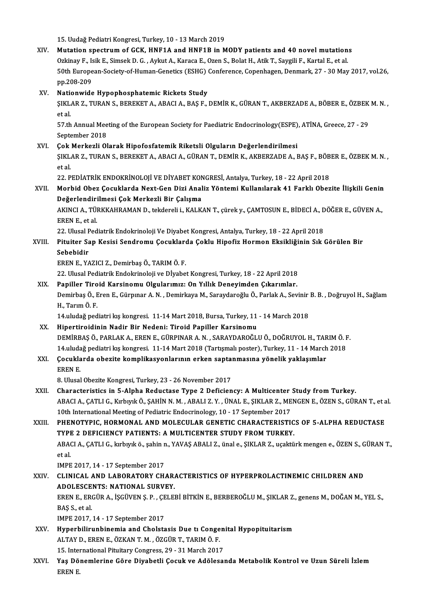15.UudağPediatriKongresi,Turkey,10 -13March 2019

15. Uudağ Pediatri Kongresi, Turkey, 10 - 13 March 2019<br>XIV. Mutation spectrum of GCK, HNF1A and HNF1B in MODY patients and 40 novel mutations<br>Orkiney E. Jaik E. Simeek D. C. Aylut A. Konega E. Oren S. Belat H. Atik T. Sey 15. Uudağ Pediatri Kongresi, Turkey, 10 - 13 March 2019<br>Mutation spectrum of GCK, HNF1A and HNF1B in MODY patients and 40 novel mutation<br>Ozkinay F., Isik E., Simsek D. G. , Aykut A., Karaca E., Ozen S., Bolat H., Atik T., Mutation spectrum of GCK, HNF1A and HNF1B in MODY patients and 40 novel mutations<br>Ozkinay F., Isik E., Simsek D. G. , Aykut A., Karaca E., Ozen S., Bolat H., Atik T., Saygili F., Kartal E., et al.<br>50th European-Society-of-Ozkinay F., Is<br>50th Europe<br>pp.208-209<br>Nationwide XV. Nationwide Hypophosphatemic Rickets Study pp.208-209<br>Nationwide Hypophosphatemic Rickets Study<br>ŞIKLAR Z., TURAN S., BEREKET A., ABACI A., BAŞ F., DEMİR K., GÜRAN T., AKBERZADE A., BÖBER E., ÖZBEK M. N. , Nation<br>SIKL<br>et al.<br>57 th ŞIKLAR Z., TURAN S., BEREKET A., ABACI A., BAŞ F., DEMİR K., GÜRAN T., AKBERZADE A., BÖBER E., ÖZBEK<br>et al.<br>57.th Annual Meeting of the European Society for Paediatric Endocrinology(ESPE), ATİNA, Greece, 27 - 29<br>Santambar et al.<br>57.th Annual Meeting of the European Society for Paediatric Endocrinology(ESPE), ATİNA, Greece, 27 - 29<br>September 2018 57.th Annual Meeting of the European Society for Paediatric Endocrinology(ESPE)<br>September 2018<br>XVI. Cok Merkezli Olarak Hipofosfatemik Riketsli Olguların Değerlendirilmesi<br>SIKI AP 7. TUPAN S. PEREKET A. APACI A. CÜPAN T. D ŞIKLAR Z., TURAN S., BEREKET A., ABACI A., GÜRAN T., DEMİR K., AKBERZADE A., BAŞ F., BÖBER E., ÖZBEK M. N. ,<br>et al **Çok**<br>ŞIKL<br>et al.<br>22. B ŞIKLAR Z., TURAN S., BEREKET A., ABACI A., GÜRAN T., DEMİR K., AKBERZADE A., BAŞ F., BÖB<br>et al.<br>22. PEDİATRİK ENDOKRİNOLOJİ VE DİYABET KONGRESİ, Antalya, Turkey, 18 - 22 April 2018<br>Marbid Obaz Casuklarda Navt Can Dizi Anal XVII. Morbid Obez Çocuklarda Next-Gen Dizi Analiz Yöntemi Kullanılarak 41 Farklı Obezite İlişkili Genin<br>Değerlendirilmesi Çok Merkezli Bir Çalışma 22. PEDİATRİK ENDOKRİNOLOJİ VE DİYABET KON<br>Morbid Obez Çocuklarda Next-Gen Dizi Anal<br>Değerlendirilmesi Çok Merkezli Bir Çalışma<br>AKINCLA TÜRKKAHRAMAN D. takdaralı i. KALK Morbid Obez Çocuklarda Next-Gen Dizi Analiz Yöntemi Kullanılarak 41 Farklı Obezite İlişkili Genin<br>Değerlendirilmesi Çok Merkezli Bir Çalışma<br>AKINCI A., TÜRKKAHRAMAN D., tekdereli i., KALKAN T., çürek y., ÇAMTOSUN E., BİDEC <mark>Değerlendir</mark>i<br>AKINCI A., TÜI<br>EREN E., et al.<br><sup>22. Ulucal Bod</sub></sup> AKINCI A., TÜRKKAHRAMAN D., tekdereli i., KALKAN T., çürek y., ÇAMTOSUN E., BİDECİ A., D<br>EREN E., et al.<br>22. Ulusal Pediatrik Endokrinoloji Ve Diyabet Kongresi, Antalya, Turkey, 18 - 22 April 2018<br>Bitujtar San Kasisi Sandr EREN E., et al.<br>22. Ulusal Pediatrik Endokrinoloji Ve Diyabet Kongresi, Antalya, Turkey, 18 - 22 April 2018<br>XVIII. Pituiter Sap Kesisi Sendromu Çocuklarda Çoklu Hipofiz Hormon Eksikliğinin Sık Görülen Bir<br>Sehebidir 22. Ulusal F<br>Pituiter Sa<br>Sebebidir<br>FREN F. YA Pituiter Sap Kesisi Sendromu Çocukları<br>Sebebidir<br>EREN E., YAZICI Z., Demirbaş Ö., TARIM Ö. F.<br>22. Ulucal Bediatrik Endekrineleji ve Divabe Sebebidir<br>EREN E., YAZICI Z., Demirbaş Ö., TARIM Ö. F.<br>22. Ulusal Pediatrik Endokrinoloji ve Dİyabet Kongresi, Turkey, 18 - 22 April 2018<br>Paniller Tiroid Karsinomu Olgularımızı On Yıllık Denovimden Cıkarımlar EREN E., YAZICI Z., Demirbaş Ö., TARIM Ö. F.<br>22. Ulusal Pediatrik Endokrinoloji ve Dİyabet Kongresi, Turkey, 18 - 22 April 2018<br>XIX. Papiller Tiroid Karsinomu Olgularımız: On Yıllık Deneyimden Çıkarımlar.<br>Demirbas Ö. Fren 22. Ulusal Pediatrik Endokrinoloji ve Dİyabet Kongresi, Turkey, 18 - 22 April 2018<br><mark>Papiller Tiroid Karsinomu Olgularımız: On Yıllık Deneyimden Çıkarımlar.</mark><br>Demirbaş Ö., Eren E., Gürpınar A. N. , Demirkaya M., Saraydaroğlu Papiller Tiroid Karsinomu Olgularımız: On Yıllık Deneyimden Çıkarımlar.<br>Demirbaş Ö., Eren E., Gürpınar A. N. , Demirkaya M., Saraydaroğlu Ö., Parlak A., Sevinir<br>H., Tarım Ö. F.<br>14.uludağ pediatri kış kongresi. 11-14 Mart 2 Demirbaş Ö., Eren E., Gürpınar A. N. , Demirkaya M., Saraydaroğlu Ö., Parlak A., Sevinir<br>H., Tarım Ö. F.<br>14.uludağ pediatri kış kongresi. 11-14 Mart 2018, Bursa, Turkey, 11 - 14 March 2018<br>Hinertineidinin Nadir Bir Nedeni: XX. Hipertiroidinin Nadir Bir Nedeni: Tiroid Papiller Karsinomu 14.uludağ pediatri kış kongresi. 11-14 Mart 2018, Bursa, Turkey, 11 - 14 March 2018<br>Hipertiroidinin Nadir Bir Nedeni: Tiroid Papiller Karsinomu<br>DEMİRBAŞ Ö., PARLAK A., EREN E., GÜRPINAR A. N. , SARAYDAROĞLU Ö., DOĞRUYOL H. Hipertiroidinin Nadir Bir Nedeni: Tiroid Papiller Karsinomu<br>DEMİRBAŞ Ö., PARLAK A., EREN E., GÜRPINAR A. N. , SARAYDAROĞLU Ö., DOĞRUYOL H., TARIM Ö. I<br>14.uludağ pediatri kış kongresi. 11-14 Mart 2018 (Tartışmalı poster), T DEMİRBAŞ Ö., PARLAK A., EREN E., GÜRPINAR A. N. , SARAYDAROĞLU Ö., DOĞRUYOL H., TAR<br>14.uludağ pediatri kış kongresi. 11-14 Mart 2018 (Tartışmalı poster), Turkey, 11 - 14 March<br>XXI. Çocuklarda obezite komplikasyonların 14.uludağ pediatri kış kongresi. 11-14 Mart 2018 (Tartışmalı poster), Turkey, 11 - 14 March 2018<br>Çocuklarda obezite komplikasyonlarının erken saptanmasına yönelik yaklaşımlar<br>EREN E.<br>8. Ulusal Obezite Kongresi, Turkey, 23 Çocuklarda obezite komplikasyonlarının erken saptanmasına yönelik yaklaşımlar XXII. Characteristics in 5-Alpha Reductase Type 2 Deficiency: A Multicenter Study from Turkey. 8. Ulusal Obezite Kongresi, Turkey, 23 - 26 November 2017<br>Characteristics in 5-Alpha Reductase Type 2 Deficiency: A Multicenter Study from Turkey.<br>ABACI A., ÇATLI G., Kırbıyık Ö., ŞAHİN N. M. , ABALI Z. Y. , ÜNAL E., ŞIKLA Characteristics in 5-Alpha Reductase Type 2 Deficiency: A Multicenter<br>ABACI A., ÇATLI G., Kırbıyık Ö., ŞAHİN N. M. , ABALI Z. Y. , ÜNAL E., ŞIKLAR Z., ME<br>10th International Meeting of Pediatric Endocrinology, 10 - 17 Septe 10th International Meeting of Pediatric Endocrinology, 10 - 17 September 2017<br>XXIII. PHENOTYPIC, HORMONAL AND MOLECULAR GENETIC CHARACTERISTICS OF 5-ALPHA REDUCTASE 10th International Meeting of Pediatric Endocrinology, 10 - 17 September 2017<br>PHENOTYPIC, HORMONAL AND MOLECULAR GENETIC CHARACTERISTIC<br>TYPE 2 DEFICIENCY PATIENTS: A MULTICENTER STUDY FROM TURKEY.<br>ABACLA CATLLC JErburk ö. PHENOTYPIC, HORMONAL AND MOLECULAR GENETIC CHARACTERISTICS OF 5-ALPHA REDUCTASE<br>TYPE 2 DEFICIENCY PATIENTS: A MULTICENTER STUDY FROM TURKEY.<br>ABACI A., ÇATLI G., kırbıyık ö., şahin n., YAVAŞ ABALI Z., ünal e., ŞIKLAR Z., uç TYPI<br>ABA<br>et al.<br>IMPE ABACI A., ÇATLI G., kırbıyık ö., şahin n<br>et al.<br>IMPE 2017, 14 - 17 September 2017<br>CLINICAL AND LABORATORY CH. et al.<br>IMPE 2017, 14 - 17 September 2017<br>XXIV. CLINICAL AND LABORATORY CHARACTERISTICS OF HYPERPROLACTINEMIC CHILDREN AND<br>ADOLESCENTS: NATIONAL SUBVEY IMPE 2017, 14 - 17 September 2017<br>CLINICAL AND LABORATORY CHAR.<br>ADOLESCENTS: NATIONAL SURVEY.<br>EPEN E. EPCÚP A. ISCÚVEN S. B. CELEI CLINICAL AND LABORATORY CHARACTERISTICS OF HYPERPROLACTINEMIC CHILDREN AND<br>ADOLESCENTS: NATIONAL SURVEY.<br>EREN E., ERGÜR A., İŞGÜVEN Ş. P. , ÇELEBİ BİTKİN E., BERBEROĞLU M., ŞIKLAR Z., genens M., DOĞAN M., YEL S.,<br>BAS S. st ADOLESCENTS: NATIONAL SURVEY.<br>EREN E., ERGÜR A., İŞGÜVEN Ş. P. , ÇELEI<br>BAŞ S., et al.<br>IMPE 2017, 14 - 17 September 2017 EREN E., ERGÜR A., İŞGÜVEN Ş. P. , ÇE<br>BAŞ S., et al.<br>IMPE 2017, 14 - 17 September 2017<br>Hunorbilinunbinemia and Ghalata BAŞ S., et al.<br>IMPE 2017, 14 - 17 September 2017<br>XXV. Hyperbilirunbinemia and Cholstasis Due tı Congenital Hypopituitarism<br>ALTAV D. EREN E. ÖZKAN T. M. ÖZCÜR T. TARIM Ö. E IMPE 2017, 14 - 17 September 2017<br>Hyperbilirunbinemia and Cholstasis Due tı Conge<br>ALTAY D., EREN E., ÖZKAN T. M. , ÖZGÜR T., TARIM Ö. F.<br>15. International Bituitary Congress, 29., 21 Marsh 2017 Hyperbilirunbinemia and Cholstasis Due tı Congen<br>ALTAY D., EREN E., ÖZKAN T. M. , ÖZGÜR T., TARIM Ö. F.<br>15. International Pituitary Congress, 29 - 31 March 2017<br>Yee Dönemlerine Cöre Divebetli Cosult ve Adöleser ALTAY D., EREN E., ÖZKAN T. M. , ÖZGÜR T., TARIM Ö. F.<br>15. International Pituitary Congress, 29 - 31 March 2017<br>XXVI. Yaş Dönemlerine Göre Diyabetli Çocuk ve Adölesanda Metabolik Kontrol ve Uzun Süreli İzlem<br>FREN F 15. Inter<br>Yaş Dö:<br>EREN E.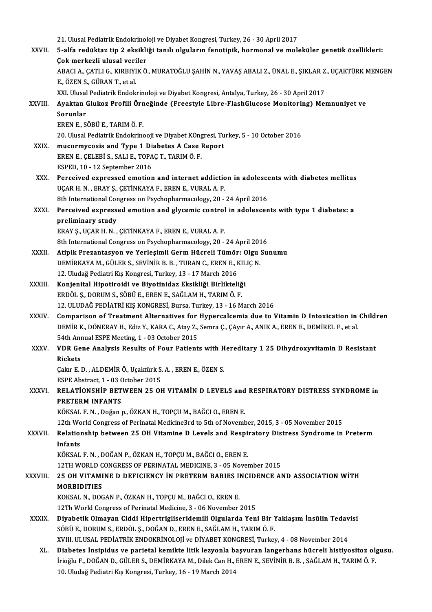|              | 21. Ulusal Pediatrik Endokrinoloji ve Diyabet Kongresi, Turkey, 26 - 30 April 2017                                                                         |
|--------------|------------------------------------------------------------------------------------------------------------------------------------------------------------|
| XXVII.       | 5-alfa redüktaz tip 2 eksikliği tanılı olguların fenotipik, hormonal ve moleküler genetik özellikleri:                                                     |
|              | Çok merkezli ulusal veriler                                                                                                                                |
|              | ABACI A., ÇATLI G., KIRBIYIK Ö., MURATOĞLU ŞAHİN N., YAVAŞ ABALI Z., ÜNAL E., ŞIKLAR Z., UÇAKTÜRK MENGEN                                                   |
|              | E., ÖZEN S., GÜRAN T., et al.                                                                                                                              |
|              | XXI. Ulusal Pediatrik Endokrinoloji ve Diyabet Kongresi, Antalya, Turkey, 26 - 30 April 2017                                                               |
| XXVIII.      | Ayaktan Glukoz Profili Örneğinde (Freestyle Libre-FlashGlucose Monitoring) Memnuniyet ve                                                                   |
|              | Sorunlar                                                                                                                                                   |
|              | EREN E, SÖBÜ E, TARIM Ö. F.                                                                                                                                |
|              | 20. Ulusal Pediatrik Endokrinooji ve Diyabet KOngresi, Turkey, 5 - 10 October 2016                                                                         |
| XXIX.        | mucormycosis and Type 1 Diabetes A Case Report                                                                                                             |
|              | EREN E., ÇELEBİ S., SALI E., TOPAÇ T., TARIM Ö. F.                                                                                                         |
|              | ESPED, 10 - 12 September 2016                                                                                                                              |
| XXX.         | Perceived expressed emotion and internet addiction in adolescents with diabetes mellitus                                                                   |
|              | UÇAR H. N., ERAY Ş., ÇETİNKAYA F., EREN E., VURAL A. P.                                                                                                    |
|              | 8th International Congress on Psychopharmacology, 20 - 24 April 2016                                                                                       |
| XXXI.        | Perceived expressed emotion and glycemic control in adolescents with type 1 diabetes: a                                                                    |
|              | preliminary study                                                                                                                                          |
|              | ERAY Ş., UÇAR H. N., ÇETİNKAYA F., EREN E., VURAL A. P.                                                                                                    |
|              | 8th International Congress on Psychopharmacology, 20 - 24 April 2016                                                                                       |
| XXXII.       | Atipik Prezantasyon ve Yerleşimli Germ Hücreli Tümör: Olgu Sunumu                                                                                          |
|              | DEMİRKAYA M., GÜLER S., SEVİNİR B. B., TURAN C., EREN E., KILIÇ N.                                                                                         |
|              | 12. Uludağ Pediatri Kış Kongresi, Turkey, 13 - 17 March 2016                                                                                               |
| XXXIII.      | Konjenital Hipotiroidi ve Biyotinidaz Eksikliği Birlikteliği                                                                                               |
|              | ERDÖL Ş., DORUM S., SÖBÜ E., EREN E., SAĞLAM H., TARIM Ö. F.                                                                                               |
|              | 12. ULUDAĞ PEDİATRİ KIŞ KONGRESİ, Bursa, Turkey, 13 - 16 March 2016                                                                                        |
| <b>XXXIV</b> | Comparison of Treatment Alternatives for Hypercalcemia due to Vitamin D Intoxication in Children                                                           |
|              | DEMİR K., DÖNERAY H., Ediz Y., KARA C., Atay Z., Semra Ç., ÇAyır A., ANIK A., EREN E., DEMİREL F., et al.<br>54th Annual ESPE Meeting. 1 - 03 October 2015 |
| XXXV.        | VDR Gene Analysis Results of Four Patients with Hereditary 1 25 Dihydroxyvitamin D Resistant                                                               |
|              | <b>Rickets</b>                                                                                                                                             |
|              | Çakır E.D., ALDEMİR Ö., Uçaktürk S.A., EREN E., ÖZEN S.                                                                                                    |
|              | ESPE Abstract, 1 - 03 October 2015                                                                                                                         |
| <b>XXXVI</b> | RELATIONSHIP BETWEEN 25 OH VITAMIN D LEVELS and RESPIRATORY DISTRESS SYNDROME in                                                                           |
|              | PRETERM INFANTS                                                                                                                                            |
|              | KÖKSAL F. N., Doğan p., ÖZKAN H., TOPÇU M., BAĞCI O., EREN E.                                                                                              |
|              | 12th World Congress of Perinatal Medicine3rd to 5th of November, 2015, 3 - 05 November 2015                                                                |
| XXXVII.      | Relationship between 25 OH Vitamine D Levels and Respiratory Distress Syndrome in Preterm                                                                  |
|              | Infants                                                                                                                                                    |
|              | KÖKSAL F. N., DOĞAN P., ÖZKAN H., TOPÇU M., BAĞCI O., EREN E.                                                                                              |
|              | 12TH WORLD CONGRESS OF PERINATAL MEDICINE, 3 - 05 November 2015                                                                                            |
| XXXVIII.     | 25 OH VITAMINE D DEFICIENCY IN PRETERM BABIES INCIDENCE AND ASSOCIATION WITH                                                                               |
|              | <b>MORBIDITIES</b>                                                                                                                                         |
|              | KOKSAL N., DOGAN P., ÖZKAN H., TOPÇU M., BAĞCI O., EREN E.                                                                                                 |
|              | 12Th World Congress of Perinatal Medicine, 3 - 06 November 2015                                                                                            |
| <b>XXXIX</b> | Diyabetik Olmayan Ciddi Hipertrigliseridemili Olgularda Yeni Bir Yaklaşım İnsülin Tedavisi                                                                 |
|              | SÖBÜ E., DORUM S., ERDÖL Ş., DOĞAN D., EREN E., SAĞLAM H., TARIM Ö. F.                                                                                     |
|              | XVIII. ULUSAL PEDIATRIK ENDOKRINOLOJI ve DİYABET KONGRESİ, Turkey, 4 - 08 November 2014                                                                    |
| XL.          | Diabetes İnsipidus ve parietal kemikte litik lezyonla başvuran langerhans hücreli histiyositoz olgusu.                                                     |
|              | İrioğlu F., DOĞAN D., GÜLER S., DEMİRKAYA M., Dilek Can H., EREN E., SEVİNİR B. B., SAĞLAM H., TARIM Ö. F.                                                 |
|              | 10. Uludağ Pediatri Kış Kongresi, Turkey, 16 - 19 March 2014                                                                                               |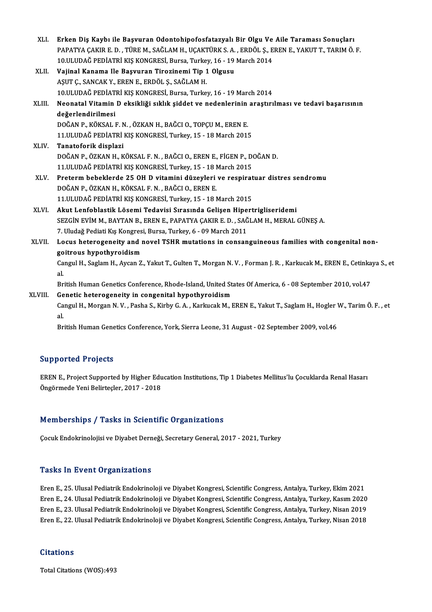| XLI.    | Erken Diş Kaybı ile Başvuran Odontohipofosfatazyalı Bir Olgu Ve Aile Taraması Sonuçları<br>PAPATYA ÇAKIR E. D., TÜRE M., SAĞLAM H., UÇAKTÜRK S. A., ERDÖL Ş., EREN E., YAKUT T., TARIM Ö. F. |
|---------|----------------------------------------------------------------------------------------------------------------------------------------------------------------------------------------------|
|         | 10.ULUDAĞ PEDİATRİ KIŞ KONGRESİ, Bursa, Turkey, 16 - 19 March 2014                                                                                                                           |
| XLII.   | Vajinal Kanama Ile Başvuran Tirozinemi Tip 1 Olgusu                                                                                                                                          |
|         | AŞUT Ç., SANCAK Y., EREN E., ERDÖL Ş., SAĞLAM H.                                                                                                                                             |
|         | 10.ULUDAĞ PEDİATRİ KIŞ KONGRESİ, Bursa, Turkey, 16 - 19 March 2014                                                                                                                           |
| XLIII.  | Neonatal Vitamin D eksikliği sıklık şiddet ve nedenlerinin araştırılması ve tedavi başarısının                                                                                               |
|         | değerlendirilmesi                                                                                                                                                                            |
|         | DOĞAN P., KÖKSAL F. N., ÖZKAN H., BAĞCI O., TOPÇU M., EREN E.                                                                                                                                |
|         | 11.ULUDAĞ PEDİATRİ KIŞ KONGRESİ, Turkey, 15 - 18 March 2015                                                                                                                                  |
| XLIV.   | Tanatoforik displazi                                                                                                                                                                         |
|         | DOĞAN P., ÖZKAN H., KÖKSAL F. N., BAĞCI O., EREN E., FİGEN P., DOĞAN D.                                                                                                                      |
|         | 11.ULUDAĞ PEDİATRİ KIŞ KONGRESİ, Turkey, 15 - 18 March 2015                                                                                                                                  |
| XLV     | Preterm bebeklerde 25 OH D vitamini düzeyleri ve respiratuar distres sendromu                                                                                                                |
|         | DOĞAN P., ÖZKAN H., KÖKSAL F. N., BAĞCI O., EREN E.                                                                                                                                          |
|         | 11.ULUDAĞ PEDİATRİ KIŞ KONGRESİ, Turkey, 15 - 18 March 2015                                                                                                                                  |
| XLVI.   | Akut Lenfoblastik Lösemi Tedavisi Sırasında Gelişen Hipertrigliseridemi                                                                                                                      |
|         | SEZGIN EVIM M., BAYTAN B., EREN E., PAPATYA ÇAKIR E. D., SAĞLAM H., MERAL GÜNEŞ A.                                                                                                           |
|         | 7. Uludağ Pediati Kış Kongresi, Bursa, Turkey, 6 - 09 March 2011                                                                                                                             |
| XLVII.  | Locus heterogeneity and novel TSHR mutations in consanguineous families with congenital non-                                                                                                 |
|         | goitrous hypothyroidism                                                                                                                                                                      |
|         | Cangul H., Saglam H., Aycan Z., Yakut T., Gulten T., Morgan N. V., Forman J. R., Karkucak M., EREN E., Cetinkaya S., et<br>al.                                                               |
|         | British Human Genetics Conference, Rhode-Island, United States Of America, 6 - 08 September 2010, vol.47                                                                                     |
| XLVIII. | Genetic heterogeneity in congenital hypothyroidism                                                                                                                                           |
|         | Cangul H., Morgan N. V., Pasha S., Kirby G. A., Karkucak M., EREN E., Yakut T., Saglam H., Hogler W., Tarim Ö. F., et<br>al.                                                                 |
|         | British Human Genetics Conference, York, Sierra Leone, 31 August - 02 September 2009, vol.46                                                                                                 |
|         |                                                                                                                                                                                              |

### Supported Projects

Supported Projects<br>EREN E., Project Supported by Higher Education Institutions, Tip 1 Diabetes Mellitus'lu Çocuklarda Renal Hasarı<br>Öngörmede Yeni Belirtesler, 2017, 2019 önpporten 110jeens<br>EREN E., Project Supported by Higher Edu<br>Öngörmede Yeni Belirteçler, 2017 - 2018

# Öngörmede Yeni Belirteçler, 2017 - 2018<br>Memberships / Tasks in Scientific Organizations

Çocuk Endokrinolojisi ve Diyabet Derneği, Secretary General, 2017 - 2021, Turkey

### **Tasks In Event Organizations**

Tasks In Event Organizations<br>Eren E., 25. Ulusal Pediatrik Endokrinoloji ve Diyabet Kongresi, Scientific Congress, Antalya, Turkey, Ekim 2021<br>Eren E. 24. Ulusal Pediatrik Endokrinoloji ve Diyabet Kongresi, Scientific Congr Tusks Yn 27 chr er gannaatrone<br>Eren E., 25. Ulusal Pediatrik Endokrinoloji ve Diyabet Kongresi, Scientific Congress, Antalya, Turkey, Ekim 2021<br>Eren E., 24. Ulusal Pediatrik Endokrinoloji ve Diyabet Kongresi, Scientific Co Eren E., 25. Ulusal Pediatrik Endokrinoloji ve Diyabet Kongresi, Scientific Congress, Antalya, Turkey, Ekim 2021<br>Eren E., 24. Ulusal Pediatrik Endokrinoloji ve Diyabet Kongresi, Scientific Congress, Antalya, Turkey, Kasım Eren E., 24. Ulusal Pediatrik Endokrinoloji ve Diyabet Kongresi, Scientific Congress, Antalya, Turkey, Kasım 2020<br>Eren E., 23. Ulusal Pediatrik Endokrinoloji ve Diyabet Kongresi, Scientific Congress, Antalya, Turkey, Nisan Eren E., 22. Ulusal Pediatrik Endokrinoloji ve Diyabet Kongresi, Scientific Congress, Antalya, Turkey, Nisan 2018<br>Citations

Total Citations (WOS):493